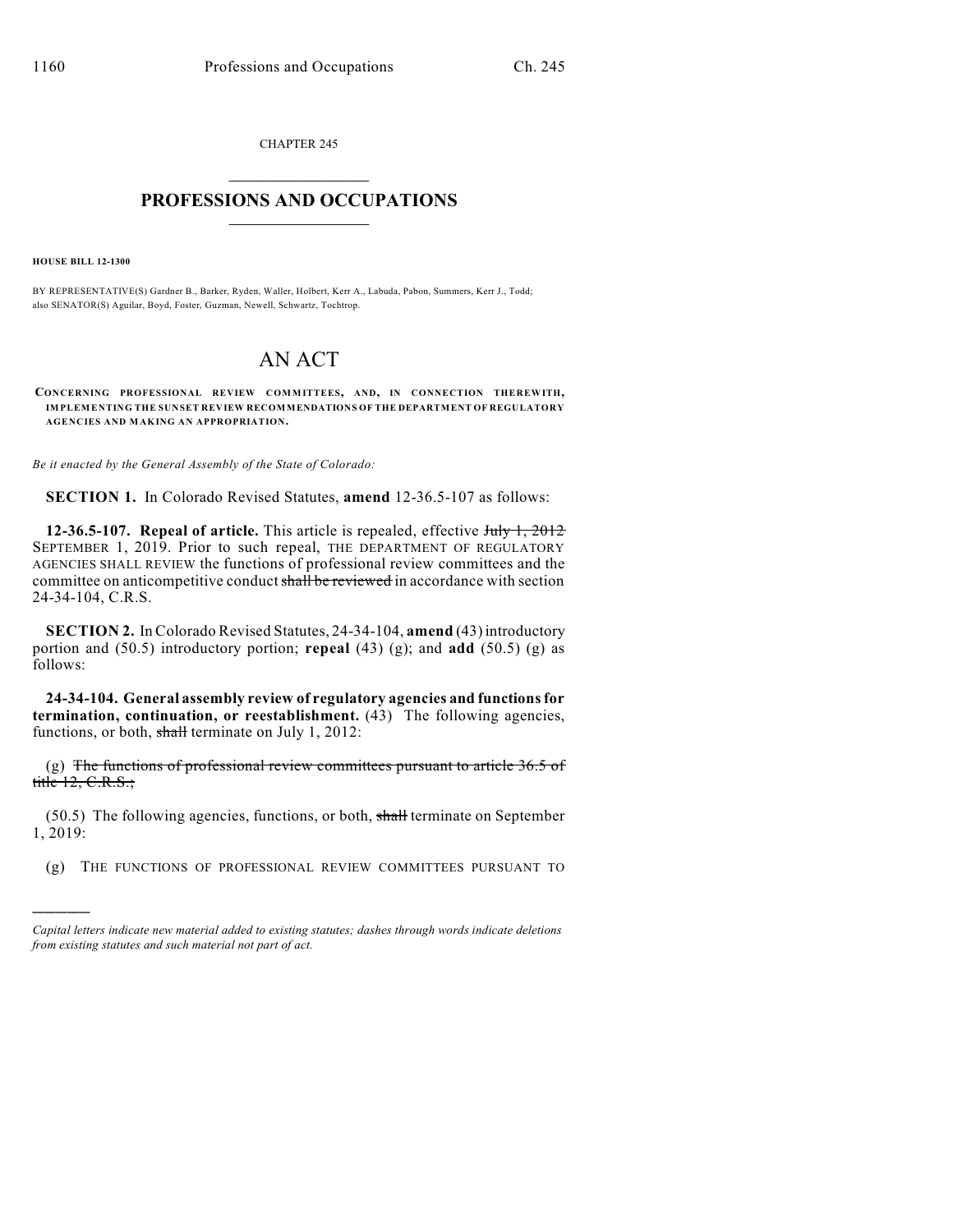CHAPTER 245  $\mathcal{L}_\text{max}$  . The set of the set of the set of the set of the set of the set of the set of the set of the set of the set of the set of the set of the set of the set of the set of the set of the set of the set of the set

## **PROFESSIONS AND OCCUPATIONS**  $\frac{1}{2}$  ,  $\frac{1}{2}$  ,  $\frac{1}{2}$  ,  $\frac{1}{2}$  ,  $\frac{1}{2}$  ,  $\frac{1}{2}$

**HOUSE BILL 12-1300**

)))))

BY REPRESENTATIVE(S) Gardner B., Barker, Ryden, Waller, Holbert, Kerr A., Labuda, Pabon, Summers, Kerr J., Todd; also SENATOR(S) Aguilar, Boyd, Foster, Guzman, Newell, Schwartz, Tochtrop.

## AN ACT

**CONCERNING PROFESSIONAL REVIEW COMMITTEES, AND, IN CONNECTION THEREWITH, IMPLEMENTING THE SUNSET REVIEW RECOMMENDATIONS OF THE DEPARTMENT OF REGULATORY AGENCIES AND MAKING AN APPROPRIATION.**

*Be it enacted by the General Assembly of the State of Colorado:*

**SECTION 1.** In Colorado Revised Statutes, **amend** 12-36.5-107 as follows:

**12-36.5-107. Repeal of article.** This article is repealed, effective July 1, 2012 SEPTEMBER 1, 2019. Prior to such repeal, THE DEPARTMENT OF REGULATORY AGENCIES SHALL REVIEW the functions of professional review committees and the committee on anticompetitive conduct shall be reviewed in accordance with section 24-34-104, C.R.S.

**SECTION 2.** In Colorado Revised Statutes, 24-34-104, **amend** (43) introductory portion and (50.5) introductory portion; **repeal** (43) (g); and **add** (50.5) (g) as follows:

**24-34-104. General assembly review of regulatory agencies and functionsfor termination, continuation, or reestablishment.** (43) The following agencies, functions, or both, shall terminate on July 1, 2012:

(g) The functions of professional review committees pursuant to article  $36.5$  of title  $12, C.R.S.;$ 

 $(50.5)$  The following agencies, functions, or both, shall terminate on September 1, 2019:

(g) THE FUNCTIONS OF PROFESSIONAL REVIEW COMMITTEES PURSUANT TO

*Capital letters indicate new material added to existing statutes; dashes through words indicate deletions from existing statutes and such material not part of act.*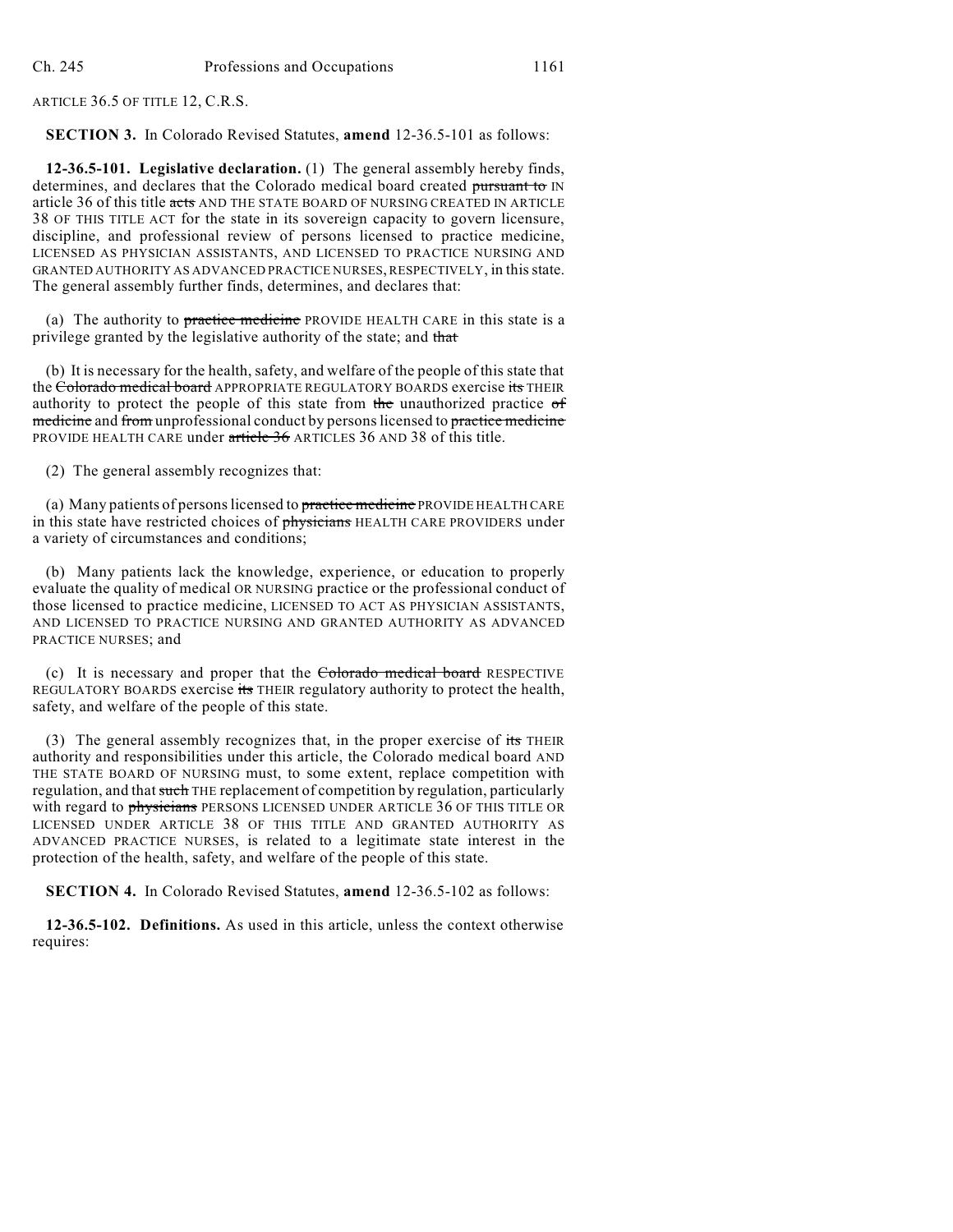ARTICLE 36.5 OF TITLE 12, C.R.S.

**SECTION 3.** In Colorado Revised Statutes, **amend** 12-36.5-101 as follows:

**12-36.5-101. Legislative declaration.** (1) The general assembly hereby finds, determines, and declares that the Colorado medical board created pursuant to IN article 36 of this title acts AND THE STATE BOARD OF NURSING CREATED IN ARTICLE 38 OF THIS TITLE ACT for the state in its sovereign capacity to govern licensure, discipline, and professional review of persons licensed to practice medicine, LICENSED AS PHYSICIAN ASSISTANTS, AND LICENSED TO PRACTICE NURSING AND GRANTED AUTHORITY AS ADVANCED PRACTICE NURSES, RESPECTIVELY, in thisstate. The general assembly further finds, determines, and declares that:

(a) The authority to practice medicine PROVIDE HEALTH CARE in this state is a privilege granted by the legislative authority of the state; and that

(b) It is necessary for the health, safety, and welfare of the people of this state that the Colorado medical board APPROPRIATE REGULATORY BOARDS exercise its THEIR authority to protect the people of this state from the unauthorized practice of medicine and from unprofessional conduct by persons licensed to practice medicine PROVIDE HEALTH CARE under article 36 ARTICLES 36 AND 38 of this title.

(2) The general assembly recognizes that:

(a) Many patients of personslicensed to practice medicine PROVIDE HEALTH CARE in this state have restricted choices of physicians HEALTH CARE PROVIDERS under a variety of circumstances and conditions;

(b) Many patients lack the knowledge, experience, or education to properly evaluate the quality of medical OR NURSING practice or the professional conduct of those licensed to practice medicine, LICENSED TO ACT AS PHYSICIAN ASSISTANTS, AND LICENSED TO PRACTICE NURSING AND GRANTED AUTHORITY AS ADVANCED PRACTICE NURSES; and

(c) It is necessary and proper that the Colorado medical board RESPECTIVE REGULATORY BOARDS exercise its THEIR regulatory authority to protect the health, safety, and welfare of the people of this state.

(3) The general assembly recognizes that, in the proper exercise of  $\frac{1}{15}$  THEIR authority and responsibilities under this article, the Colorado medical board AND THE STATE BOARD OF NURSING must, to some extent, replace competition with regulation, and that such THE replacement of competition by regulation, particularly with regard to physicians PERSONS LICENSED UNDER ARTICLE 36 OF THIS TITLE OR LICENSED UNDER ARTICLE 38 OF THIS TITLE AND GRANTED AUTHORITY AS ADVANCED PRACTICE NURSES, is related to a legitimate state interest in the protection of the health, safety, and welfare of the people of this state.

**SECTION 4.** In Colorado Revised Statutes, **amend** 12-36.5-102 as follows:

**12-36.5-102. Definitions.** As used in this article, unless the context otherwise requires: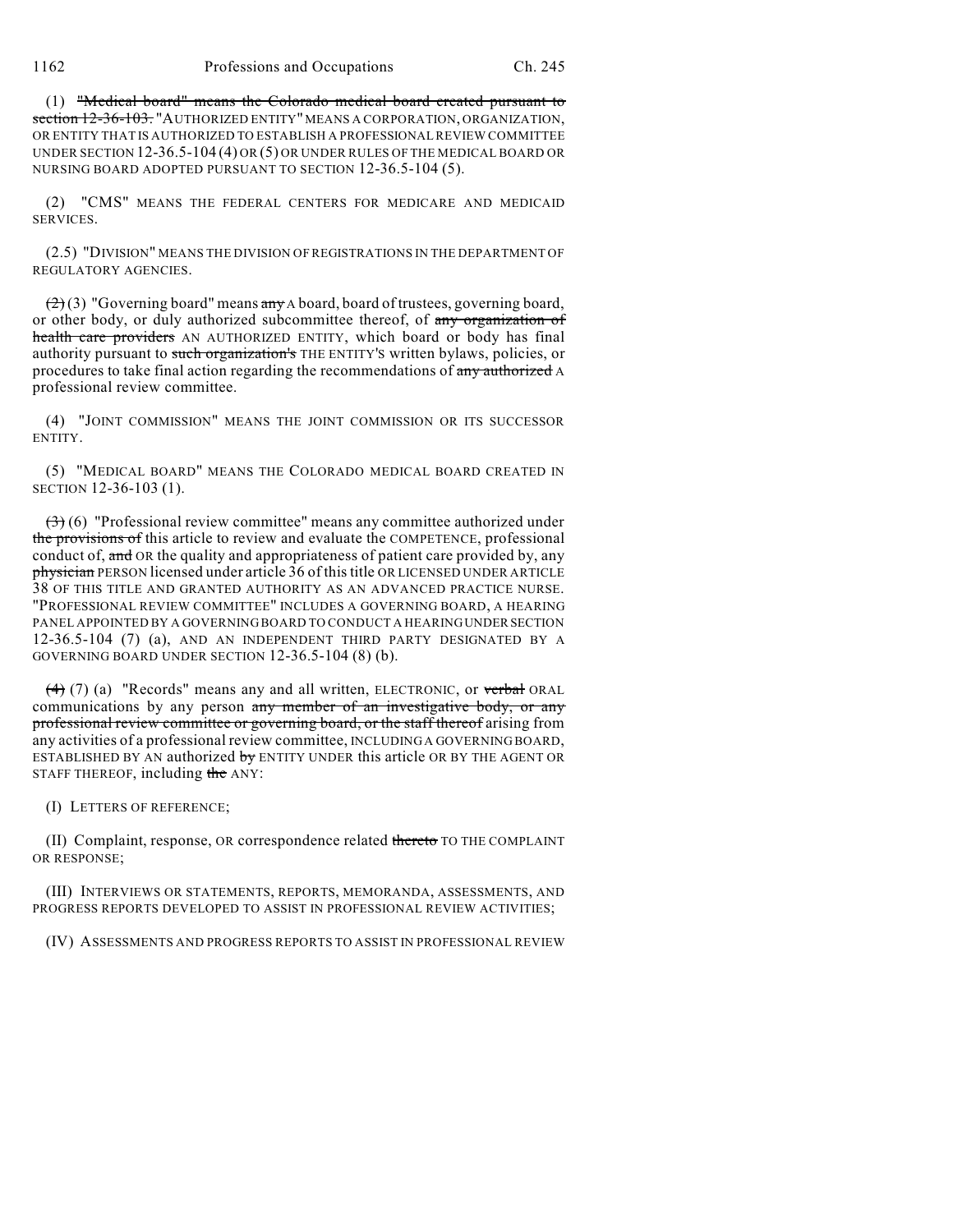(1) "Medical board" means the Colorado medical board created pursuant to section 12-36-103. "AUTHORIZED ENTITY" MEANS A CORPORATION, ORGANIZATION, OR ENTITY THAT IS AUTHORIZED TO ESTABLISH A PROFESSIONAL REVIEW COMMITTEE UNDER SECTION 12-36.5-104 (4) OR (5) OR UNDER RULES OF THE MEDICAL BOARD OR NURSING BOARD ADOPTED PURSUANT TO SECTION 12-36.5-104 (5).

(2) "CMS" MEANS THE FEDERAL CENTERS FOR MEDICARE AND MEDICAID SERVICES.

(2.5) "DIVISION" MEANS THE DIVISION OF REGISTRATIONS IN THE DEPARTMENT OF REGULATORY AGENCIES.

 $(2)(3)$  "Governing board" means any A board, board of trustees, governing board, or other body, or duly authorized subcommittee thereof, of any organization of health care providers AN AUTHORIZED ENTITY, which board or body has final authority pursuant to such organization's THE ENTITY'S written bylaws, policies, or procedures to take final action regarding the recommendations of any authorized A professional review committee.

(4) "JOINT COMMISSION" MEANS THE JOINT COMMISSION OR ITS SUCCESSOR ENTITY.

(5) "MEDICAL BOARD" MEANS THE COLORADO MEDICAL BOARD CREATED IN SECTION 12-36-103 (1).

 $(3)$  (6) "Professional review committee" means any committee authorized under the provisions of this article to review and evaluate the COMPETENCE, professional conduct of, and OR the quality and appropriateness of patient care provided by, any physician PERSON licensed under article 36 of this title OR LICENSED UNDER ARTICLE 38 OF THIS TITLE AND GRANTED AUTHORITY AS AN ADVANCED PRACTICE NURSE. "PROFESSIONAL REVIEW COMMITTEE" INCLUDES A GOVERNING BOARD, A HEARING PANEL APPOINTED BY A GOVERNING BOARD TO CONDUCT A HEARINGUNDER SECTION 12-36.5-104 (7) (a), AND AN INDEPENDENT THIRD PARTY DESIGNATED BY A GOVERNING BOARD UNDER SECTION 12-36.5-104 (8) (b).

 $(4)$  (7) (a) "Records" means any and all written, ELECTRONIC, or verbal ORAL communications by any person any member of an investigative body, or any professional review committee or governing board, or the staff thereof arising from any activities of a professional review committee, INCLUDING A GOVERNING BOARD, ESTABLISHED BY AN authorized by ENTITY UNDER this article OR BY THE AGENT OR STAFF THEREOF, including the ANY:

(I) LETTERS OF REFERENCE;

(II) Complaint, response, OR correspondence related thereto TO THE COMPLAINT OR RESPONSE;

(III) INTERVIEWS OR STATEMENTS, REPORTS, MEMORANDA, ASSESSMENTS, AND PROGRESS REPORTS DEVELOPED TO ASSIST IN PROFESSIONAL REVIEW ACTIVITIES;

(IV) ASSESSMENTS AND PROGRESS REPORTS TO ASSIST IN PROFESSIONAL REVIEW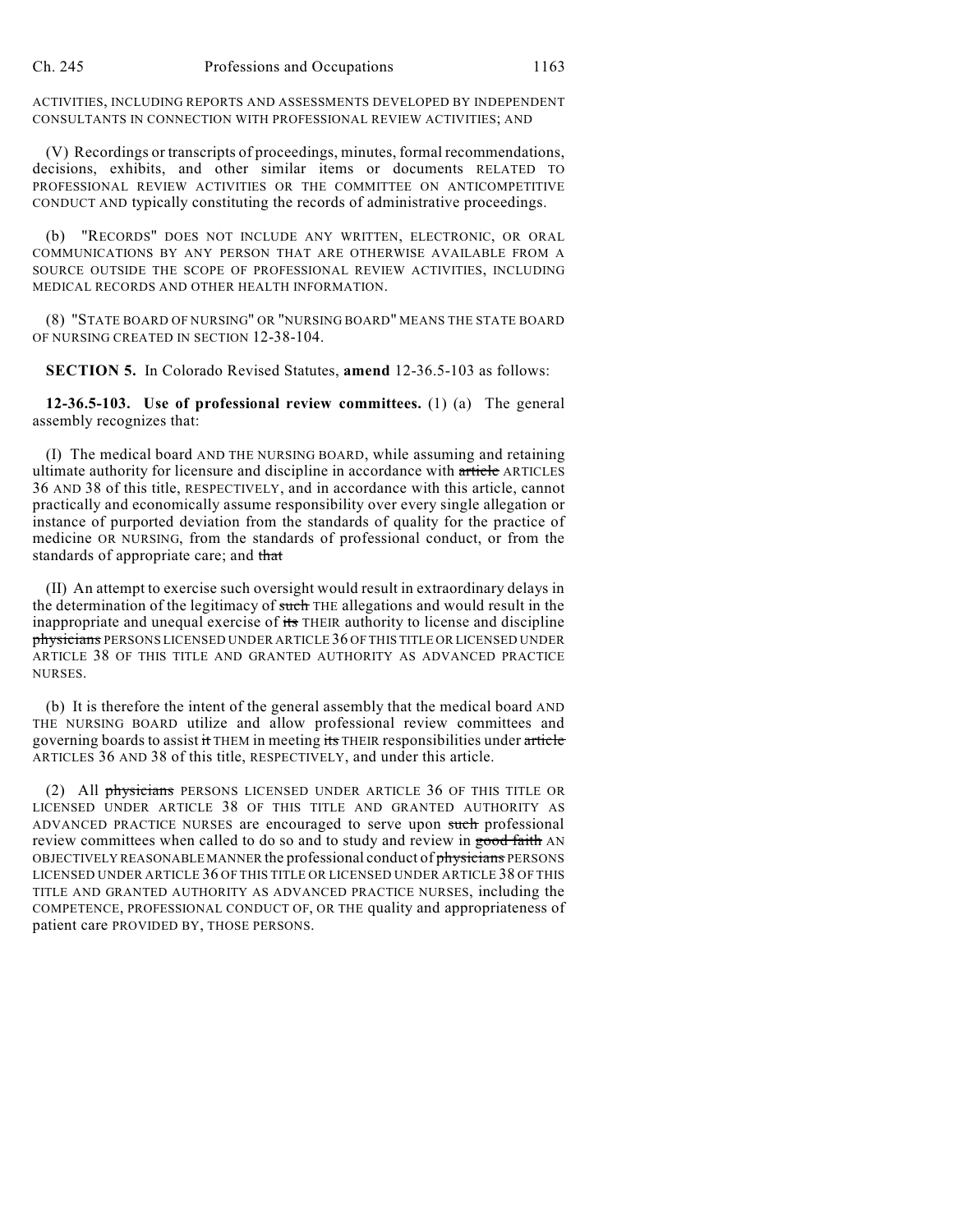ACTIVITIES, INCLUDING REPORTS AND ASSESSMENTS DEVELOPED BY INDEPENDENT CONSULTANTS IN CONNECTION WITH PROFESSIONAL REVIEW ACTIVITIES; AND

(V) Recordings or transcripts of proceedings, minutes, formal recommendations, decisions, exhibits, and other similar items or documents RELATED TO PROFESSIONAL REVIEW ACTIVITIES OR THE COMMITTEE ON ANTICOMPETITIVE CONDUCT AND typically constituting the records of administrative proceedings.

(b) "RECORDS" DOES NOT INCLUDE ANY WRITTEN, ELECTRONIC, OR ORAL COMMUNICATIONS BY ANY PERSON THAT ARE OTHERWISE AVAILABLE FROM A SOURCE OUTSIDE THE SCOPE OF PROFESSIONAL REVIEW ACTIVITIES, INCLUDING MEDICAL RECORDS AND OTHER HEALTH INFORMATION.

(8) "STATE BOARD OF NURSING" OR "NURSING BOARD" MEANS THE STATE BOARD OF NURSING CREATED IN SECTION 12-38-104.

**SECTION 5.** In Colorado Revised Statutes, **amend** 12-36.5-103 as follows:

**12-36.5-103. Use of professional review committees.** (1) (a) The general assembly recognizes that:

(I) The medical board AND THE NURSING BOARD, while assuming and retaining ultimate authority for licensure and discipline in accordance with article ARTICLES 36 AND 38 of this title, RESPECTIVELY, and in accordance with this article, cannot practically and economically assume responsibility over every single allegation or instance of purported deviation from the standards of quality for the practice of medicine OR NURSING, from the standards of professional conduct, or from the standards of appropriate care; and that

(II) An attempt to exercise such oversight would result in extraordinary delays in the determination of the legitimacy of such THE allegations and would result in the inappropriate and unequal exercise of its THEIR authority to license and discipline physicians PERSONS LICENSED UNDER ARTICLE 36 OF THIS TITLE OR LICENSED UNDER ARTICLE 38 OF THIS TITLE AND GRANTED AUTHORITY AS ADVANCED PRACTICE NURSES.

(b) It is therefore the intent of the general assembly that the medical board AND THE NURSING BOARD utilize and allow professional review committees and governing boards to assist it THEM in meeting its THEIR responsibilities under article ARTICLES 36 AND 38 of this title, RESPECTIVELY, and under this article.

(2) All physicians PERSONS LICENSED UNDER ARTICLE 36 OF THIS TITLE OR LICENSED UNDER ARTICLE 38 OF THIS TITLE AND GRANTED AUTHORITY AS ADVANCED PRACTICE NURSES are encouraged to serve upon such professional review committees when called to do so and to study and review in good faith AN OBJECTIVELY REASONABLE MANNER the professional conduct of physicians PERSONS LICENSED UNDER ARTICLE 36 OF THIS TITLE OR LICENSED UNDER ARTICLE 38 OF THIS TITLE AND GRANTED AUTHORITY AS ADVANCED PRACTICE NURSES, including the COMPETENCE, PROFESSIONAL CONDUCT OF, OR THE quality and appropriateness of patient care PROVIDED BY, THOSE PERSONS.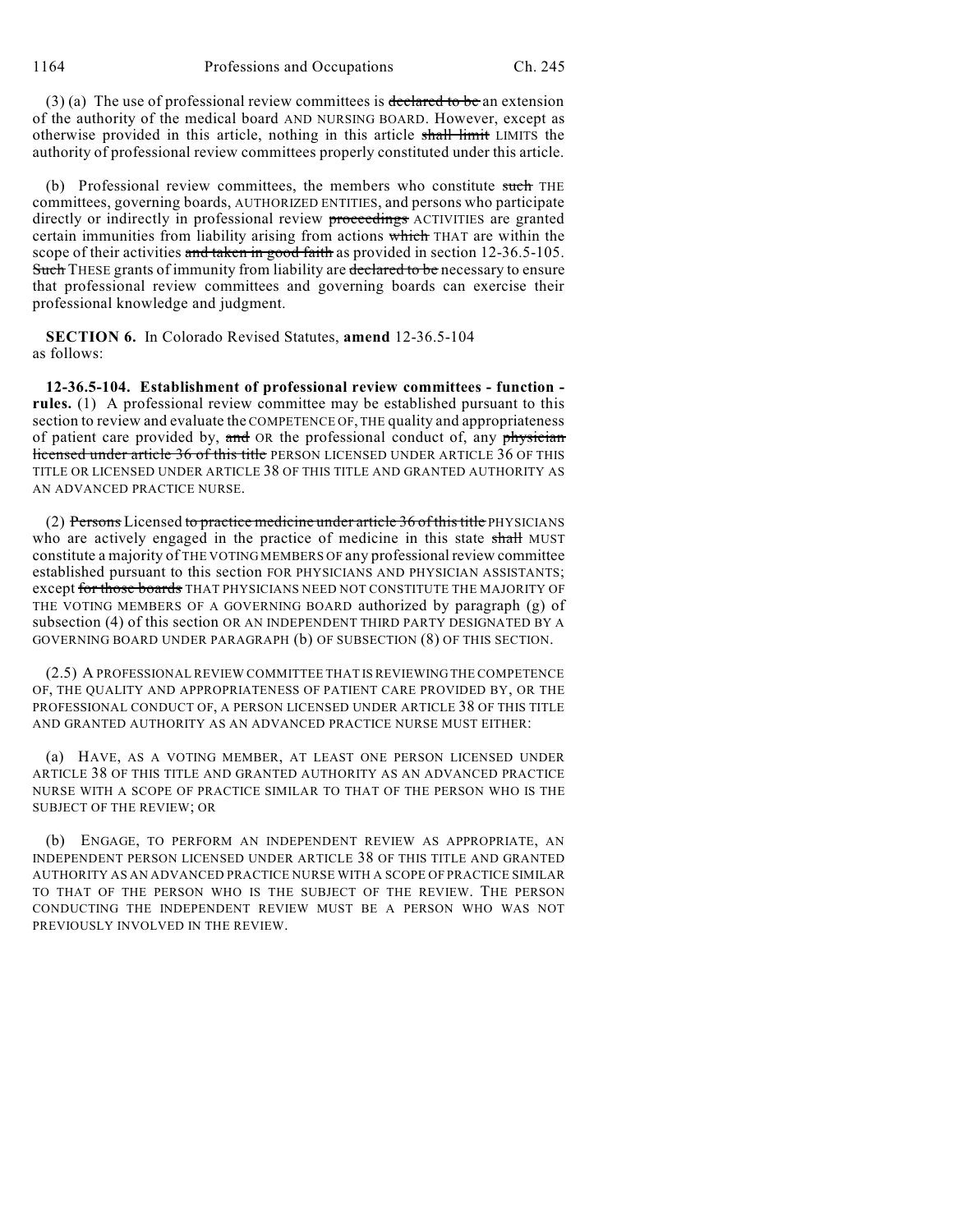(3) (a) The use of professional review committees is declared to be an extension of the authority of the medical board AND NURSING BOARD. However, except as otherwise provided in this article, nothing in this article shall limit LIMITS the authority of professional review committees properly constituted under this article.

(b) Professional review committees, the members who constitute such THE committees, governing boards, AUTHORIZED ENTITIES, and persons who participate directly or indirectly in professional review proceedings ACTIVITIES are granted certain immunities from liability arising from actions which THAT are within the scope of their activities and taken in good faith as provided in section 12-36.5-105. Such THESE grants of immunity from liability are declared to be necessary to ensure that professional review committees and governing boards can exercise their professional knowledge and judgment.

**SECTION 6.** In Colorado Revised Statutes, **amend** 12-36.5-104 as follows:

**12-36.5-104. Establishment of professional review committees - function**  rules. (1) A professional review committee may be established pursuant to this section to review and evaluate the COMPETENCE OF, THE quality and appropriateness of patient care provided by, and OR the professional conduct of, any physician licensed under article 36 of this title PERSON LICENSED UNDER ARTICLE 36 OF THIS TITLE OR LICENSED UNDER ARTICLE 38 OF THIS TITLE AND GRANTED AUTHORITY AS AN ADVANCED PRACTICE NURSE.

(2) Persons Licensed to practice medicine under article 36 of this title PHYSICIANS who are actively engaged in the practice of medicine in this state shall MUST constitute a majority of THE VOTING MEMBERS OF any professional review committee established pursuant to this section FOR PHYSICIANS AND PHYSICIAN ASSISTANTS; except for those boards THAT PHYSICIANS NEED NOT CONSTITUTE THE MAJORITY OF THE VOTING MEMBERS OF A GOVERNING BOARD authorized by paragraph (g) of subsection (4) of this section OR AN INDEPENDENT THIRD PARTY DESIGNATED BY A GOVERNING BOARD UNDER PARAGRAPH (b) OF SUBSECTION (8) OF THIS SECTION.

(2.5) A PROFESSIONAL REVIEW COMMITTEE THAT IS REVIEWING THE COMPETENCE OF, THE QUALITY AND APPROPRIATENESS OF PATIENT CARE PROVIDED BY, OR THE PROFESSIONAL CONDUCT OF, A PERSON LICENSED UNDER ARTICLE 38 OF THIS TITLE AND GRANTED AUTHORITY AS AN ADVANCED PRACTICE NURSE MUST EITHER:

(a) HAVE, AS A VOTING MEMBER, AT LEAST ONE PERSON LICENSED UNDER ARTICLE 38 OF THIS TITLE AND GRANTED AUTHORITY AS AN ADVANCED PRACTICE NURSE WITH A SCOPE OF PRACTICE SIMILAR TO THAT OF THE PERSON WHO IS THE SUBJECT OF THE REVIEW; OR

(b) ENGAGE, TO PERFORM AN INDEPENDENT REVIEW AS APPROPRIATE, AN INDEPENDENT PERSON LICENSED UNDER ARTICLE 38 OF THIS TITLE AND GRANTED AUTHORITY AS AN ADVANCED PRACTICE NURSE WITH A SCOPE OF PRACTICE SIMILAR TO THAT OF THE PERSON WHO IS THE SUBJECT OF THE REVIEW. THE PERSON CONDUCTING THE INDEPENDENT REVIEW MUST BE A PERSON WHO WAS NOT PREVIOUSLY INVOLVED IN THE REVIEW.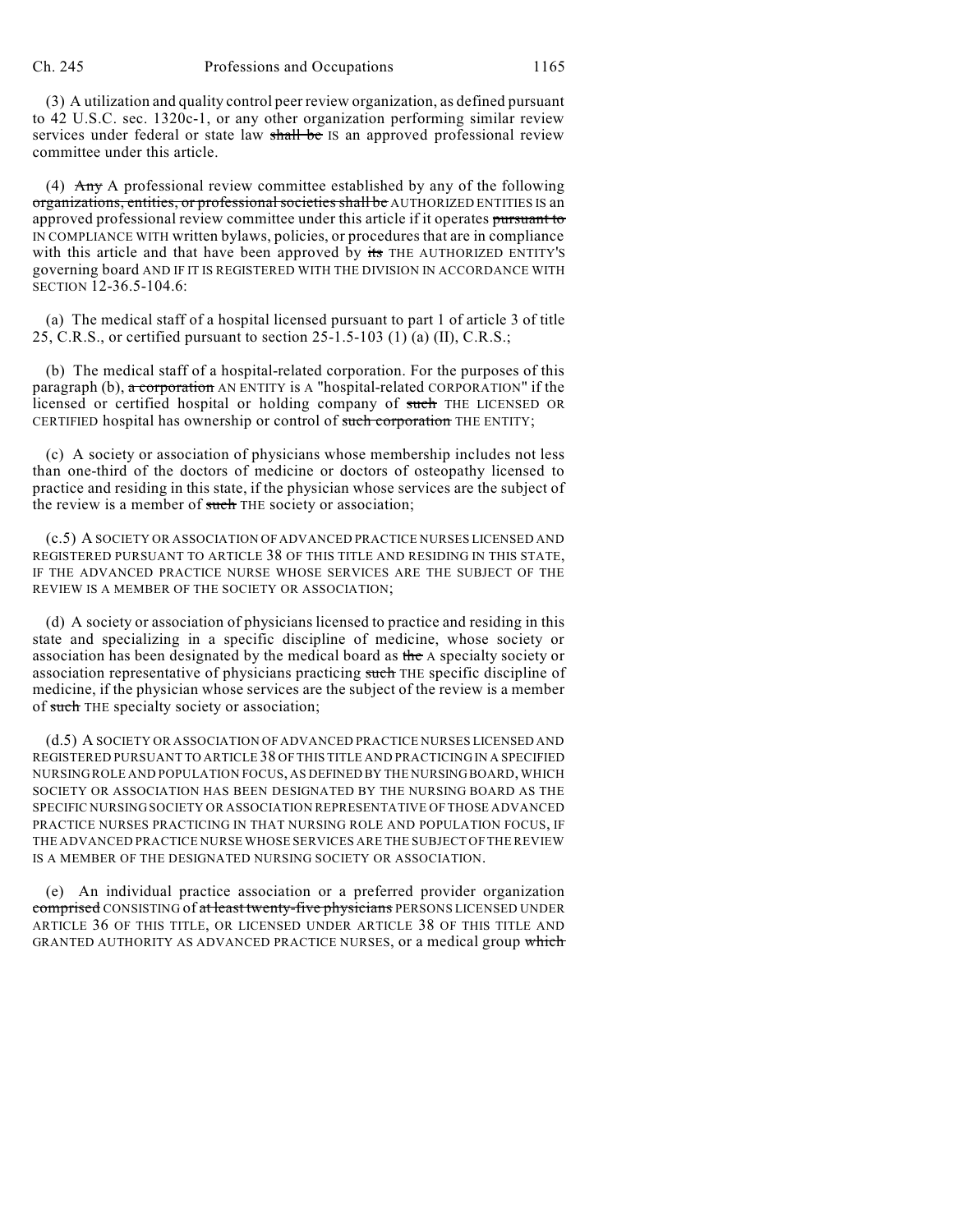(3) A utilization and quality control peer review organization, as defined pursuant to 42 U.S.C. sec. 1320c-1, or any other organization performing similar review services under federal or state law shall be IS an approved professional review committee under this article.

(4) Any A professional review committee established by any of the following organizations, entities, or professional societies shall be AUTHORIZED ENTITIES IS an approved professional review committee under this article if it operates pursuant to IN COMPLIANCE WITH written bylaws, policies, or procedures that are in compliance with this article and that have been approved by its THE AUTHORIZED ENTITY's governing board AND IF IT IS REGISTERED WITH THE DIVISION IN ACCORDANCE WITH SECTION 12-36.5-104.6:

(a) The medical staff of a hospital licensed pursuant to part 1 of article 3 of title 25, C.R.S., or certified pursuant to section 25-1.5-103 (1) (a) (II), C.R.S.;

(b) The medical staff of a hospital-related corporation. For the purposes of this paragraph (b),  $\alpha$  corporation AN ENTITY is A "hospital-related CORPORATION" if the licensed or certified hospital or holding company of such THE LICENSED OR CERTIFIED hospital has ownership or control of such corporation THE ENTITY;

(c) A society or association of physicians whose membership includes not less than one-third of the doctors of medicine or doctors of osteopathy licensed to practice and residing in this state, if the physician whose services are the subject of the review is a member of such THE society or association;

(c.5) A SOCIETY OR ASSOCIATION OF ADVANCED PRACTICE NURSES LICENSED AND REGISTERED PURSUANT TO ARTICLE 38 OF THIS TITLE AND RESIDING IN THIS STATE, IF THE ADVANCED PRACTICE NURSE WHOSE SERVICES ARE THE SUBJECT OF THE REVIEW IS A MEMBER OF THE SOCIETY OR ASSOCIATION;

(d) A society or association of physicians licensed to practice and residing in this state and specializing in a specific discipline of medicine, whose society or association has been designated by the medical board as the A specialty society or association representative of physicians practicing such THE specific discipline of medicine, if the physician whose services are the subject of the review is a member of such THE specialty society or association;

(d.5) A SOCIETY OR ASSOCIATION OF ADVANCED PRACTICE NURSES LICENSED AND REGISTERED PURSUANT TO ARTICLE 38 OF THIS TITLE AND PRACTICING IN A SPECIFIED NURSING ROLE AND POPULATION FOCUS, AS DEFINED BY THE NURSINGBOARD, WHICH SOCIETY OR ASSOCIATION HAS BEEN DESIGNATED BY THE NURSING BOARD AS THE SPECIFIC NURSING SOCIETY OR ASSOCIATION REPRESENTATIVE OF THOSE ADVANCED PRACTICE NURSES PRACTICING IN THAT NURSING ROLE AND POPULATION FOCUS, IF THE ADVANCED PRACTICE NURSE WHOSE SERVICES ARE THE SUBJECT OF THE REVIEW IS A MEMBER OF THE DESIGNATED NURSING SOCIETY OR ASSOCIATION.

(e) An individual practice association or a preferred provider organization comprised CONSISTING of at least twenty-five physicians PERSONS LICENSED UNDER ARTICLE 36 OF THIS TITLE, OR LICENSED UNDER ARTICLE 38 OF THIS TITLE AND GRANTED AUTHORITY AS ADVANCED PRACTICE NURSES, or a medical group which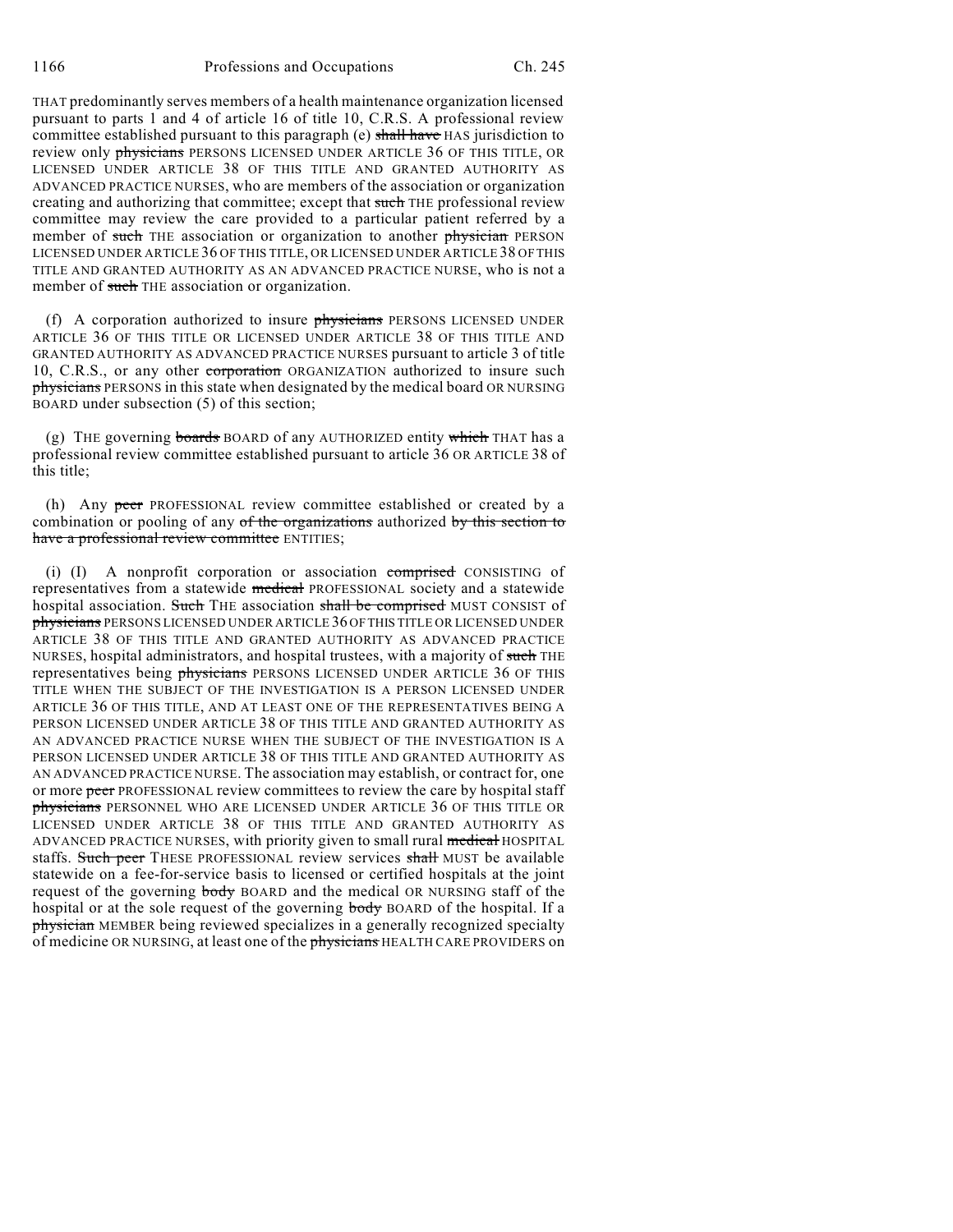THAT predominantly serves members of a health maintenance organization licensed pursuant to parts 1 and 4 of article 16 of title 10, C.R.S. A professional review committee established pursuant to this paragraph (e) shall have HAS jurisdiction to review only *physicians* PERSONS LICENSED UNDER ARTICLE 36 OF THIS TITLE, OR LICENSED UNDER ARTICLE 38 OF THIS TITLE AND GRANTED AUTHORITY AS ADVANCED PRACTICE NURSES, who are members of the association or organization creating and authorizing that committee; except that such THE professional review committee may review the care provided to a particular patient referred by a member of such THE association or organization to another physician PERSON LICENSED UNDER ARTICLE 36 OF THIS TITLE, OR LICENSED UNDER ARTICLE 38 OF THIS TITLE AND GRANTED AUTHORITY AS AN ADVANCED PRACTICE NURSE, who is not a member of such THE association or organization.

(f) A corporation authorized to insure physicians PERSONS LICENSED UNDER ARTICLE 36 OF THIS TITLE OR LICENSED UNDER ARTICLE 38 OF THIS TITLE AND GRANTED AUTHORITY AS ADVANCED PRACTICE NURSES pursuant to article 3 of title 10, C.R.S., or any other corporation ORGANIZATION authorized to insure such physicians PERSONS in this state when designated by the medical board OR NURSING BOARD under subsection (5) of this section;

(g) THE governing boards BOARD of any AUTHORIZED entity which THAT has a professional review committee established pursuant to article 36 OR ARTICLE 38 of this title;

(h) Any peer PROFESSIONAL review committee established or created by a combination or pooling of any of the organizations authorized by this section to have a professional review committee ENTITIES;

(i) (I) A nonprofit corporation or association comprised CONSISTING of representatives from a statewide medical PROFESSIONAL society and a statewide hospital association. Such THE association shall be comprised MUST CONSIST of physicians PERSONS LICENSED UNDER ARTICLE 36 OFTHIS TITLE OR LICENSED UNDER ARTICLE 38 OF THIS TITLE AND GRANTED AUTHORITY AS ADVANCED PRACTICE NURSES, hospital administrators, and hospital trustees, with a majority of such THE representatives being *physicians PERSONS LICENSED UNDER ARTICLE 36 OF THIS* TITLE WHEN THE SUBJECT OF THE INVESTIGATION IS A PERSON LICENSED UNDER ARTICLE 36 OF THIS TITLE, AND AT LEAST ONE OF THE REPRESENTATIVES BEING A PERSON LICENSED UNDER ARTICLE 38 OF THIS TITLE AND GRANTED AUTHORITY AS AN ADVANCED PRACTICE NURSE WHEN THE SUBJECT OF THE INVESTIGATION IS A PERSON LICENSED UNDER ARTICLE 38 OF THIS TITLE AND GRANTED AUTHORITY AS AN ADVANCED PRACTICE NURSE. The association may establish, or contract for, one or more peer PROFESSIONAL review committees to review the care by hospital staff physicians PERSONNEL WHO ARE LICENSED UNDER ARTICLE 36 OF THIS TITLE OR LICENSED UNDER ARTICLE 38 OF THIS TITLE AND GRANTED AUTHORITY AS ADVANCED PRACTICE NURSES, with priority given to small rural medical HOSPITAL staffs. Such peer THESE PROFESSIONAL review services shall MUST be available statewide on a fee-for-service basis to licensed or certified hospitals at the joint request of the governing **body** BOARD and the medical OR NURSING staff of the hospital or at the sole request of the governing body BOARD of the hospital. If a physician MEMBER being reviewed specializes in a generally recognized specialty of medicine OR NURSING, at least one of the physicians HEALTH CARE PROVIDERS on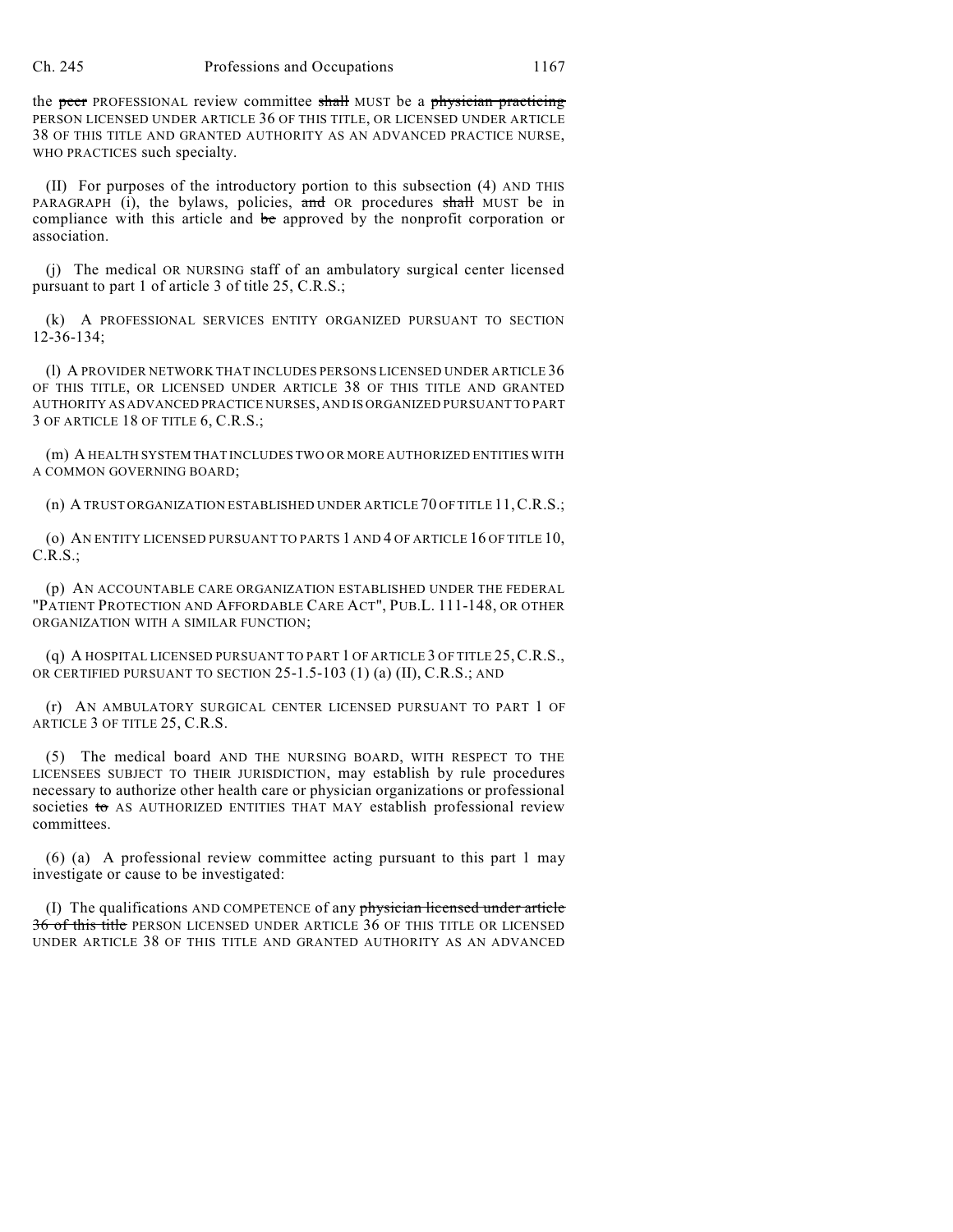the peer PROFESSIONAL review committee shall MUST be a physician practicing PERSON LICENSED UNDER ARTICLE 36 OF THIS TITLE, OR LICENSED UNDER ARTICLE 38 OF THIS TITLE AND GRANTED AUTHORITY AS AN ADVANCED PRACTICE NURSE, WHO PRACTICES such specialty.

(II) For purposes of the introductory portion to this subsection (4) AND THIS PARAGRAPH (i), the bylaws, policies, and OR procedures shall MUST be in compliance with this article and be approved by the nonprofit corporation or association.

(j) The medical OR NURSING staff of an ambulatory surgical center licensed pursuant to part 1 of article 3 of title 25, C.R.S.;

(k) A PROFESSIONAL SERVICES ENTITY ORGANIZED PURSUANT TO SECTION 12-36-134;

(l) A PROVIDER NETWORK THAT INCLUDES PERSONS LICENSED UNDER ARTICLE 36 OF THIS TITLE, OR LICENSED UNDER ARTICLE 38 OF THIS TITLE AND GRANTED AUTHORITY AS ADVANCED PRACTICE NURSES, AND IS ORGANIZED PURSUANT TO PART 3 OF ARTICLE 18 OF TITLE 6, C.R.S.;

(m) A HEALTH SYSTEM THAT INCLUDES TWO OR MORE AUTHORIZED ENTITIES WITH A COMMON GOVERNING BOARD;

(n) A TRUST ORGANIZATION ESTABLISHED UNDER ARTICLE 70 OF TITLE 11,C.R.S.;

(o) AN ENTITY LICENSED PURSUANT TO PARTS 1 AND 4 OF ARTICLE 16 OF TITLE 10, C.R.S.;

(p) AN ACCOUNTABLE CARE ORGANIZATION ESTABLISHED UNDER THE FEDERAL "PATIENT PROTECTION AND AFFORDABLE CARE ACT", PUB.L. 111-148, OR OTHER ORGANIZATION WITH A SIMILAR FUNCTION;

(q) A HOSPITAL LICENSED PURSUANT TO PART 1 OF ARTICLE 3 OF TITLE 25,C.R.S., OR CERTIFIED PURSUANT TO SECTION 25-1.5-103 (1) (a) (II), C.R.S.; AND

(r) AN AMBULATORY SURGICAL CENTER LICENSED PURSUANT TO PART 1 OF ARTICLE 3 OF TITLE 25, C.R.S.

(5) The medical board AND THE NURSING BOARD, WITH RESPECT TO THE LICENSEES SUBJECT TO THEIR JURISDICTION, may establish by rule procedures necessary to authorize other health care or physician organizations or professional societies to AS AUTHORIZED ENTITIES THAT MAY establish professional review committees.

(6) (a) A professional review committee acting pursuant to this part 1 may investigate or cause to be investigated:

(I) The qualifications AND COMPETENCE of any physician licensed under article 36 of this title PERSON LICENSED UNDER ARTICLE 36 OF THIS TITLE OR LICENSED UNDER ARTICLE 38 OF THIS TITLE AND GRANTED AUTHORITY AS AN ADVANCED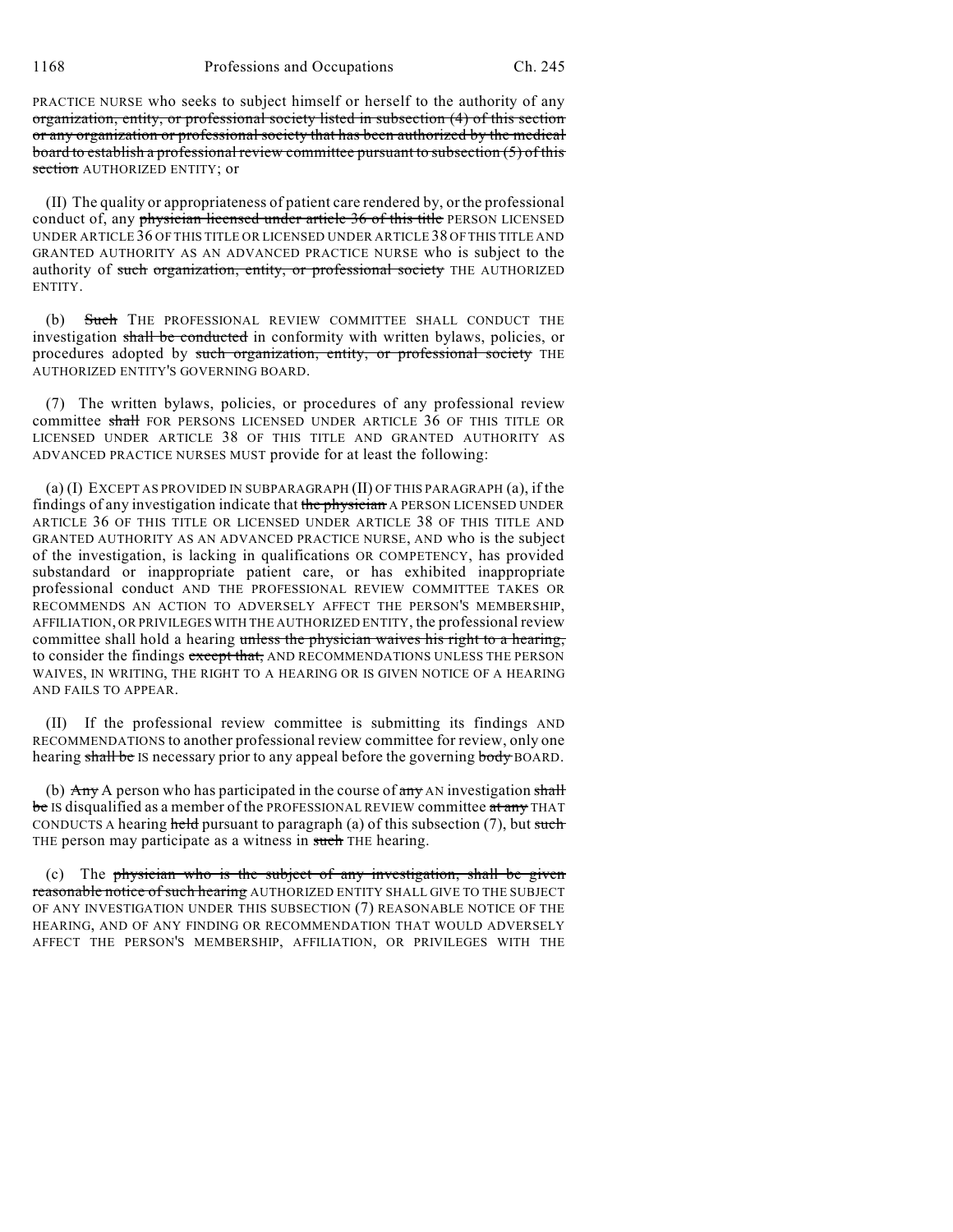PRACTICE NURSE who seeks to subject himself or herself to the authority of any organization, entity, or professional society listed in subsection (4) of this section or any organization or professional society that has been authorized by the medical board to establish a professional review committee pursuant to subsection (5) of this section AUTHORIZED ENTITY; or

(II) The quality or appropriateness of patient care rendered by, or the professional conduct of, any physician licensed under article 36 of this title PERSON LICENSED UNDER ARTICLE 36 OF THIS TITLE OR LICENSED UNDER ARTICLE 38 OF THIS TITLE AND GRANTED AUTHORITY AS AN ADVANCED PRACTICE NURSE who is subject to the authority of such organization, entity, or professional society THE AUTHORIZED ENTITY.

(b) Such THE PROFESSIONAL REVIEW COMMITTEE SHALL CONDUCT THE investigation shall be conducted in conformity with written bylaws, policies, or procedures adopted by such organization, entity, or professional society THE AUTHORIZED ENTITY'S GOVERNING BOARD.

(7) The written bylaws, policies, or procedures of any professional review committee shall FOR PERSONS LICENSED UNDER ARTICLE 36 OF THIS TITLE OR LICENSED UNDER ARTICLE 38 OF THIS TITLE AND GRANTED AUTHORITY AS ADVANCED PRACTICE NURSES MUST provide for at least the following:

(a) (I) EXCEPT AS PROVIDED IN SUBPARAGRAPH (II) OF THIS PARAGRAPH (a), if the findings of any investigation indicate that the physician A PERSON LICENSED UNDER ARTICLE 36 OF THIS TITLE OR LICENSED UNDER ARTICLE 38 OF THIS TITLE AND GRANTED AUTHORITY AS AN ADVANCED PRACTICE NURSE, AND who is the subject of the investigation, is lacking in qualifications OR COMPETENCY, has provided substandard or inappropriate patient care, or has exhibited inappropriate professional conduct AND THE PROFESSIONAL REVIEW COMMITTEE TAKES OR RECOMMENDS AN ACTION TO ADVERSELY AFFECT THE PERSON'S MEMBERSHIP, AFFILIATION, OR PRIVILEGES WITH THE AUTHORIZED ENTITY, the professional review committee shall hold a hearing unless the physician waives his right to a hearing, to consider the findings except that, AND RECOMMENDATIONS UNLESS THE PERSON WAIVES, IN WRITING, THE RIGHT TO A HEARING OR IS GIVEN NOTICE OF A HEARING AND FAILS TO APPEAR.

(II) If the professional review committee is submitting its findings AND RECOMMENDATIONS to another professional review committee for review, only one hearing shall be IS necessary prior to any appeal before the governing body BOARD.

(b)  $\overrightarrow{Any}$  A person who has participated in the course of  $\frac{any}{any}$  AN investigation shall be IS disqualified as a member of the PROFESSIONAL REVIEW committee at any THAT CONDUCTS A hearing held pursuant to paragraph (a) of this subsection (7), but such THE person may participate as a witness in such THE hearing.

(c) The physician who is the subject of any investigation, shall be given reasonable notice of such hearing AUTHORIZED ENTITY SHALL GIVE TO THE SUBJECT OF ANY INVESTIGATION UNDER THIS SUBSECTION (7) REASONABLE NOTICE OF THE HEARING, AND OF ANY FINDING OR RECOMMENDATION THAT WOULD ADVERSELY AFFECT THE PERSON'S MEMBERSHIP, AFFILIATION, OR PRIVILEGES WITH THE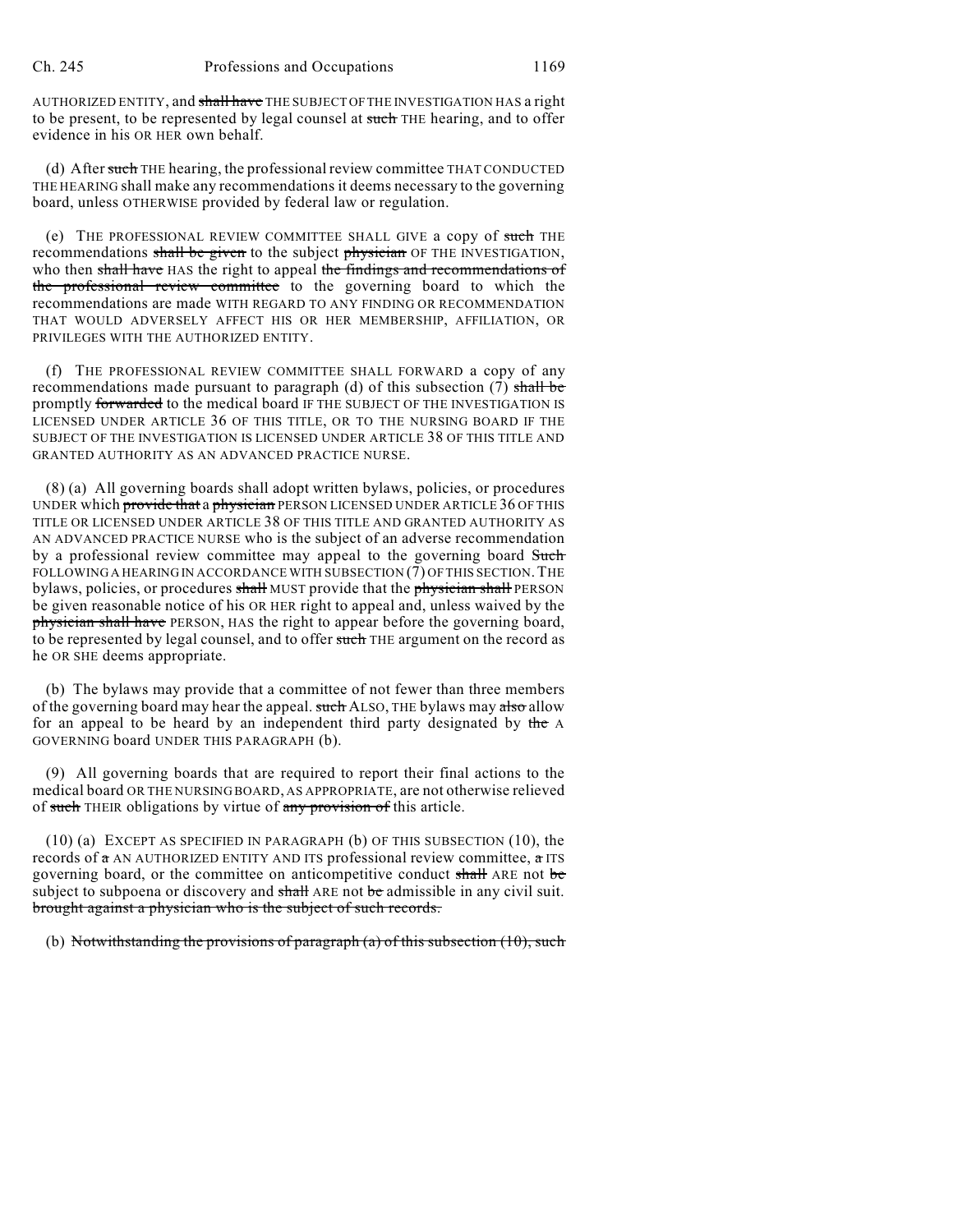AUTHORIZED ENTITY, and shall have THE SUBJECT OF THE INVESTIGATION HAS a right to be present, to be represented by legal counsel at such THE hearing, and to offer evidence in his OR HER own behalf.

(d) After such THE hearing, the professional review committee THAT CONDUCTED THE HEARING shall make any recommendations it deems necessary to the governing board, unless OTHERWISE provided by federal law or regulation.

(e) THE PROFESSIONAL REVIEW COMMITTEE SHALL GIVE a copy of such THE recommendations shall be given to the subject physician OF THE INVESTIGATION, who then shall have HAS the right to appeal the findings and recommendations of the professional review committee to the governing board to which the recommendations are made WITH REGARD TO ANY FINDING OR RECOMMENDATION THAT WOULD ADVERSELY AFFECT HIS OR HER MEMBERSHIP, AFFILIATION, OR PRIVILEGES WITH THE AUTHORIZED ENTITY.

(f) THE PROFESSIONAL REVIEW COMMITTEE SHALL FORWARD a copy of any recommendations made pursuant to paragraph (d) of this subsection (7) shall be promptly forwarded to the medical board IF THE SUBJECT OF THE INVESTIGATION IS LICENSED UNDER ARTICLE 36 OF THIS TITLE, OR TO THE NURSING BOARD IF THE SUBJECT OF THE INVESTIGATION IS LICENSED UNDER ARTICLE 38 OF THIS TITLE AND GRANTED AUTHORITY AS AN ADVANCED PRACTICE NURSE.

(8) (a) All governing boards shall adopt written bylaws, policies, or procedures UNDER which provide that a physician PERSON LICENSED UNDER ARTICLE 36 OF THIS TITLE OR LICENSED UNDER ARTICLE 38 OF THIS TITLE AND GRANTED AUTHORITY AS AN ADVANCED PRACTICE NURSE who is the subject of an adverse recommendation by a professional review committee may appeal to the governing board Such FOLLOWING A HEARING IN ACCORDANCE WITH SUBSECTION (7) OF THIS SECTION. THE bylaws, policies, or procedures shall MUST provide that the physician shall PERSON be given reasonable notice of his OR HER right to appeal and, unless waived by the physician shall have PERSON, HAS the right to appear before the governing board, to be represented by legal counsel, and to offer such THE argument on the record as he OR SHE deems appropriate.

(b) The bylaws may provide that a committee of not fewer than three members of the governing board may hear the appeal. such ALSO, THE bylaws may also allow for an appeal to be heard by an independent third party designated by the A GOVERNING board UNDER THIS PARAGRAPH (b).

(9) All governing boards that are required to report their final actions to the medical board OR THE NURSING BOARD, AS APPROPRIATE, are not otherwise relieved of such THEIR obligations by virtue of any provision of this article.

(10) (a) EXCEPT AS SPECIFIED IN PARAGRAPH (b) OF THIS SUBSECTION (10), the records of a AN AUTHORIZED ENTITY AND ITS professional review committee, a ITS governing board, or the committee on anticompetitive conduct shall ARE not be subject to subpoena or discovery and shall ARE not be admissible in any civil suit. brought against a physician who is the subject of such records.

(b) Notwithstanding the provisions of paragraph  $(a)$  of this subsection (10), such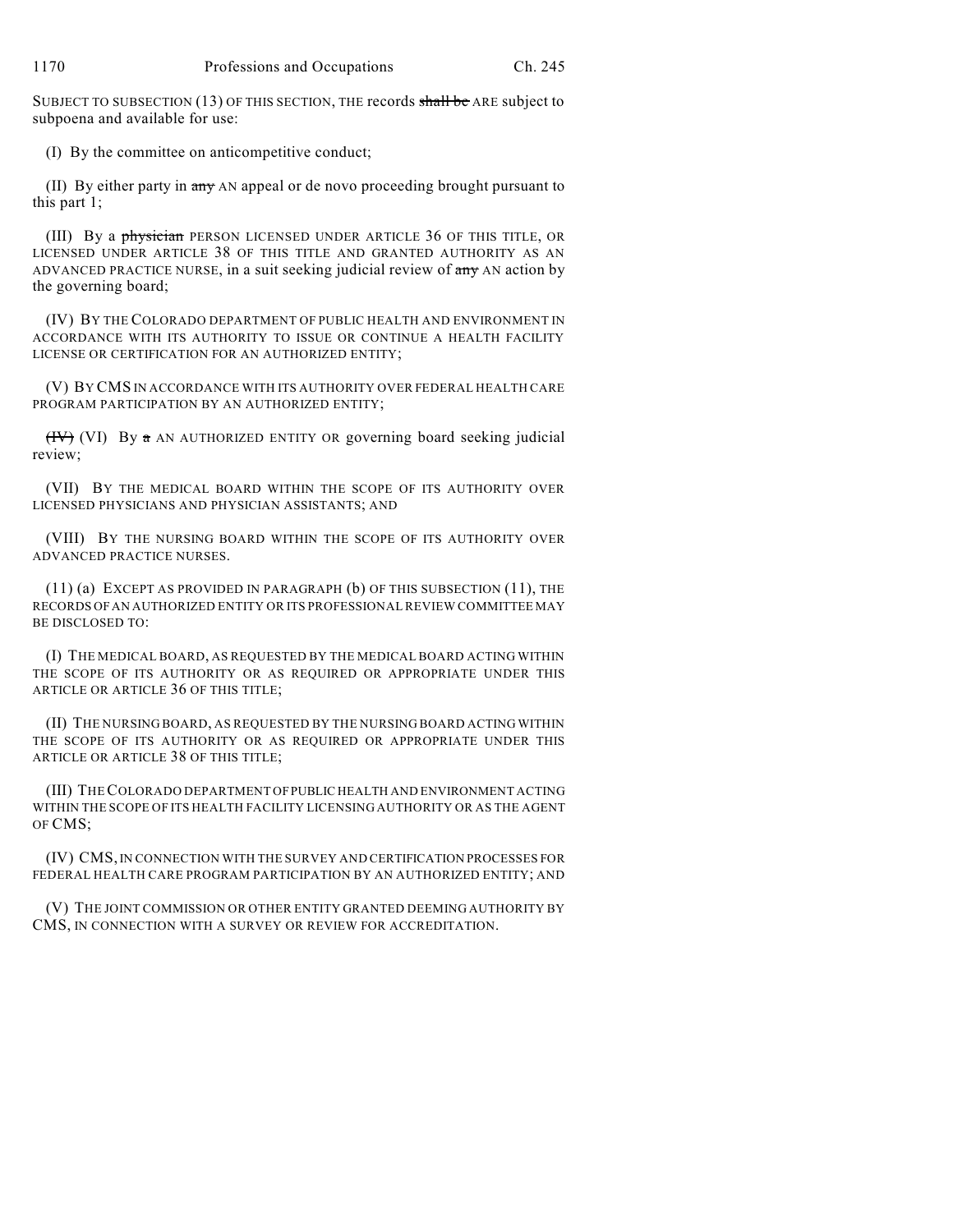SUBJECT TO SUBSECTION (13) OF THIS SECTION, THE records shall be ARE subject to subpoena and available for use:

(I) By the committee on anticompetitive conduct;

(II) By either party in any AN appeal or de novo proceeding brought pursuant to this part 1;

(III) By a physician PERSON LICENSED UNDER ARTICLE 36 OF THIS TITLE, OR LICENSED UNDER ARTICLE 38 OF THIS TITLE AND GRANTED AUTHORITY AS AN ADVANCED PRACTICE NURSE, in a suit seeking judicial review of any AN action by the governing board;

(IV) BY THE COLORADO DEPARTMENT OF PUBLIC HEALTH AND ENVIRONMENT IN ACCORDANCE WITH ITS AUTHORITY TO ISSUE OR CONTINUE A HEALTH FACILITY LICENSE OR CERTIFICATION FOR AN AUTHORIZED ENTITY;

(V) BY CMS IN ACCORDANCE WITH ITS AUTHORITY OVER FEDERAL HEALTH CARE PROGRAM PARTICIPATION BY AN AUTHORIZED ENTITY;

 $(HV)$  (VI) By a AN AUTHORIZED ENTITY OR governing board seeking judicial review;

(VII) BY THE MEDICAL BOARD WITHIN THE SCOPE OF ITS AUTHORITY OVER LICENSED PHYSICIANS AND PHYSICIAN ASSISTANTS; AND

(VIII) BY THE NURSING BOARD WITHIN THE SCOPE OF ITS AUTHORITY OVER ADVANCED PRACTICE NURSES.

(11) (a) EXCEPT AS PROVIDED IN PARAGRAPH (b) OF THIS SUBSECTION (11), THE RECORDS OFAN AUTHORIZED ENTITY OR ITS PROFESSIONAL REVIEW COMMITTEE MAY BE DISCLOSED TO:

(I) THE MEDICAL BOARD, AS REQUESTED BY THE MEDICAL BOARD ACTING WITHIN THE SCOPE OF ITS AUTHORITY OR AS REQUIRED OR APPROPRIATE UNDER THIS ARTICLE OR ARTICLE 36 OF THIS TITLE;

(II) THE NURSING BOARD, AS REQUESTED BY THE NURSING BOARD ACTING WITHIN THE SCOPE OF ITS AUTHORITY OR AS REQUIRED OR APPROPRIATE UNDER THIS ARTICLE OR ARTICLE 38 OF THIS TITLE;

(III) THECOLORADO DEPARTMENT OFPUBLIC HEALTH AND ENVIRONMENT ACTING WITHIN THE SCOPE OF ITS HEALTH FACILITY LICENSING AUTHORITY OR AS THE AGENT OF CMS;

(IV) CMS,IN CONNECTION WITH THE SURVEY AND CERTIFICATION PROCESSES FOR FEDERAL HEALTH CARE PROGRAM PARTICIPATION BY AN AUTHORIZED ENTITY; AND

(V) THE JOINT COMMISSION OR OTHER ENTITY GRANTED DEEMING AUTHORITY BY CMS, IN CONNECTION WITH A SURVEY OR REVIEW FOR ACCREDITATION.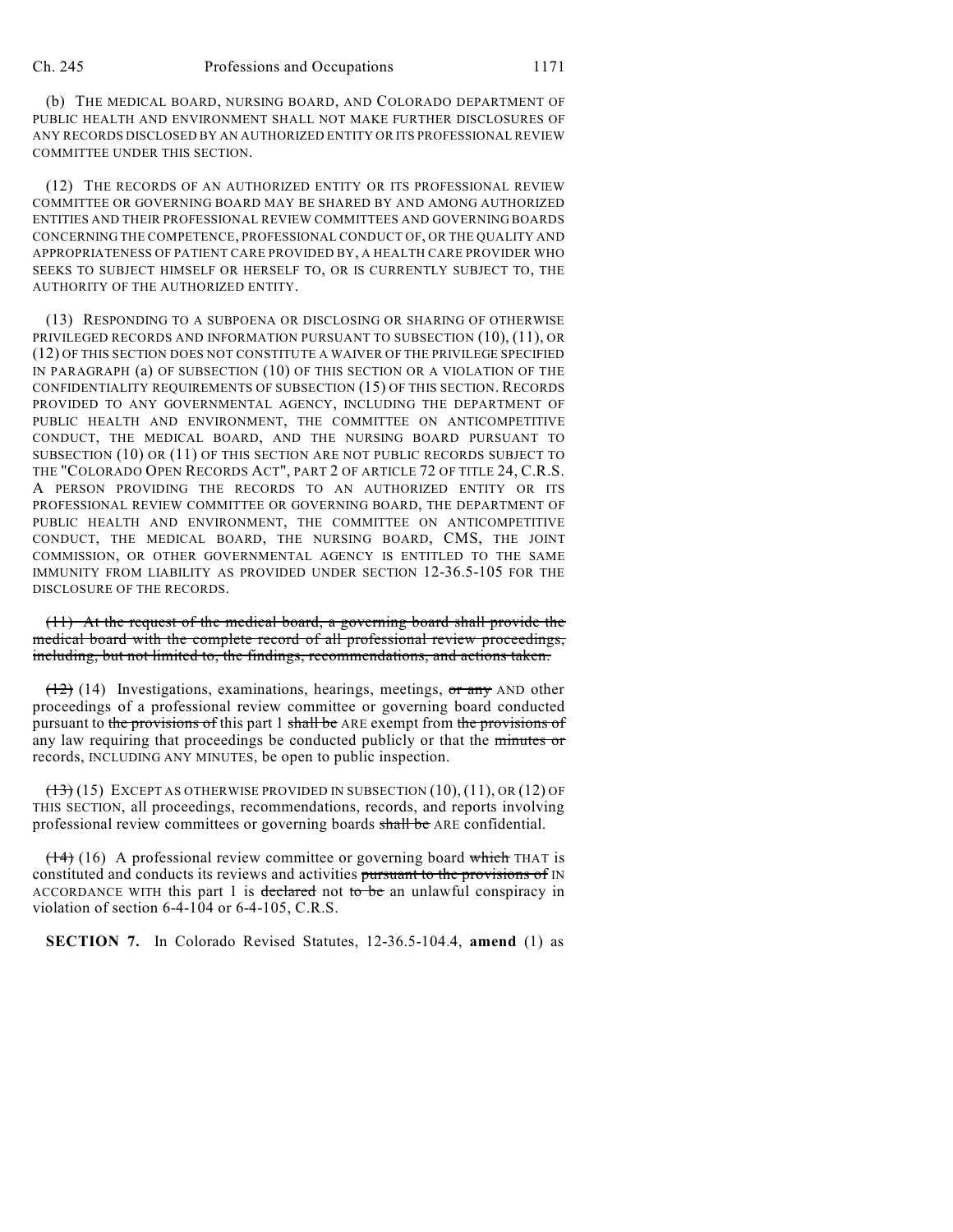(b) THE MEDICAL BOARD, NURSING BOARD, AND COLORADO DEPARTMENT OF PUBLIC HEALTH AND ENVIRONMENT SHALL NOT MAKE FURTHER DISCLOSURES OF ANY RECORDS DISCLOSED BY AN AUTHORIZED ENTITY OR ITS PROFESSIONAL REVIEW COMMITTEE UNDER THIS SECTION.

(12) THE RECORDS OF AN AUTHORIZED ENTITY OR ITS PROFESSIONAL REVIEW COMMITTEE OR GOVERNING BOARD MAY BE SHARED BY AND AMONG AUTHORIZED ENTITIES AND THEIR PROFESSIONAL REVIEW COMMITTEES AND GOVERNING BOARDS CONCERNING THE COMPETENCE, PROFESSIONAL CONDUCT OF, OR THE QUALITY AND APPROPRIATENESS OF PATIENT CARE PROVIDED BY, A HEALTH CARE PROVIDER WHO SEEKS TO SUBJECT HIMSELF OR HERSELF TO, OR IS CURRENTLY SUBJECT TO, THE AUTHORITY OF THE AUTHORIZED ENTITY.

(13) RESPONDING TO A SUBPOENA OR DISCLOSING OR SHARING OF OTHERWISE PRIVILEGED RECORDS AND INFORMATION PURSUANT TO SUBSECTION (10), (11), OR (12) OF THIS SECTION DOES NOT CONSTITUTE A WAIVER OF THE PRIVILEGE SPECIFIED IN PARAGRAPH (a) OF SUBSECTION (10) OF THIS SECTION OR A VIOLATION OF THE CONFIDENTIALITY REQUIREMENTS OF SUBSECTION (15) OF THIS SECTION. RECORDS PROVIDED TO ANY GOVERNMENTAL AGENCY, INCLUDING THE DEPARTMENT OF PUBLIC HEALTH AND ENVIRONMENT, THE COMMITTEE ON ANTICOMPETITIVE CONDUCT, THE MEDICAL BOARD, AND THE NURSING BOARD PURSUANT TO SUBSECTION (10) OR (11) OF THIS SECTION ARE NOT PUBLIC RECORDS SUBJECT TO THE "COLORADO OPEN RECORDS ACT", PART 2 OF ARTICLE 72 OF TITLE 24, C.R.S. A PERSON PROVIDING THE RECORDS TO AN AUTHORIZED ENTITY OR ITS PROFESSIONAL REVIEW COMMITTEE OR GOVERNING BOARD, THE DEPARTMENT OF PUBLIC HEALTH AND ENVIRONMENT, THE COMMITTEE ON ANTICOMPETITIVE CONDUCT, THE MEDICAL BOARD, THE NURSING BOARD, CMS, THE JOINT COMMISSION, OR OTHER GOVERNMENTAL AGENCY IS ENTITLED TO THE SAME IMMUNITY FROM LIABILITY AS PROVIDED UNDER SECTION 12-36.5-105 FOR THE DISCLOSURE OF THE RECORDS.

(11) At the request of the medical board, a governing board shall provide the medical board with the complete record of all professional review proceedings, including, but not limited to, the findings, recommendations, and actions taken.

 $(12)$  (14) Investigations, examinations, hearings, meetings, or any AND other proceedings of a professional review committee or governing board conducted pursuant to the provisions of this part 1 shall be ARE exempt from the provisions of any law requiring that proceedings be conducted publicly or that the minutes or records, INCLUDING ANY MINUTES, be open to public inspection.

 $(13)$  (15) EXCEPT AS OTHERWISE PROVIDED IN SUBSECTION  $(10)$ ,  $(11)$ , OR  $(12)$  OF THIS SECTION, all proceedings, recommendations, records, and reports involving professional review committees or governing boards shall be ARE confidential.

 $(14)$  (16) A professional review committee or governing board which THAT is constituted and conducts its reviews and activities pursuant to the provisions of IN ACCORDANCE WITH this part 1 is declared not to be an unlawful conspiracy in violation of section 6-4-104 or 6-4-105, C.R.S.

**SECTION 7.** In Colorado Revised Statutes, 12-36.5-104.4, **amend** (1) as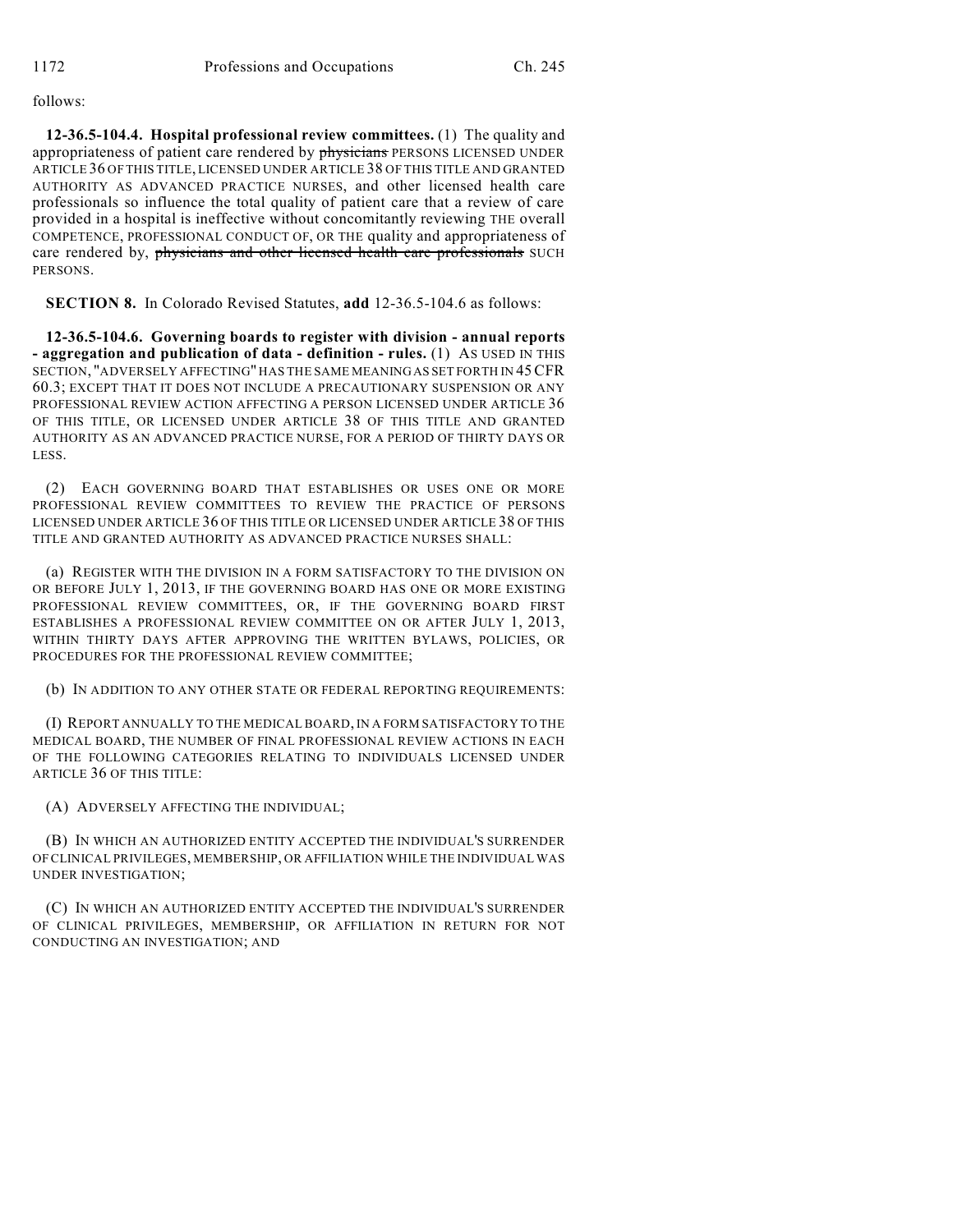follows:

**12-36.5-104.4. Hospital professional review committees.** (1) The quality and appropriateness of patient care rendered by physicians PERSONS LICENSED UNDER ARTICLE 36 OF THIS TITLE, LICENSED UNDER ARTICLE 38 OF THIS TITLE AND GRANTED AUTHORITY AS ADVANCED PRACTICE NURSES, and other licensed health care professionals so influence the total quality of patient care that a review of care provided in a hospital is ineffective without concomitantly reviewing THE overall COMPETENCE, PROFESSIONAL CONDUCT OF, OR THE quality and appropriateness of care rendered by, physicians and other licensed health care professionals SUCH PERSONS.

**SECTION 8.** In Colorado Revised Statutes, **add** 12-36.5-104.6 as follows:

**12-36.5-104.6. Governing boards to register with division - annual reports - aggregation and publication of data - definition - rules.** (1) AS USED IN THIS SECTION, "ADVERSELY AFFECTING" HAS THE SAME MEANINGAS SET FORTH IN 45CFR 60.3; EXCEPT THAT IT DOES NOT INCLUDE A PRECAUTIONARY SUSPENSION OR ANY PROFESSIONAL REVIEW ACTION AFFECTING A PERSON LICENSED UNDER ARTICLE 36 OF THIS TITLE, OR LICENSED UNDER ARTICLE 38 OF THIS TITLE AND GRANTED AUTHORITY AS AN ADVANCED PRACTICE NURSE, FOR A PERIOD OF THIRTY DAYS OR LESS.

(2) EACH GOVERNING BOARD THAT ESTABLISHES OR USES ONE OR MORE PROFESSIONAL REVIEW COMMITTEES TO REVIEW THE PRACTICE OF PERSONS LICENSED UNDER ARTICLE 36 OF THIS TITLE OR LICENSED UNDER ARTICLE 38 OF THIS TITLE AND GRANTED AUTHORITY AS ADVANCED PRACTICE NURSES SHALL:

(a) REGISTER WITH THE DIVISION IN A FORM SATISFACTORY TO THE DIVISION ON OR BEFORE JULY 1, 2013, IF THE GOVERNING BOARD HAS ONE OR MORE EXISTING PROFESSIONAL REVIEW COMMITTEES, OR, IF THE GOVERNING BOARD FIRST ESTABLISHES A PROFESSIONAL REVIEW COMMITTEE ON OR AFTER JULY 1, 2013, WITHIN THIRTY DAYS AFTER APPROVING THE WRITTEN BYLAWS, POLICIES, OR PROCEDURES FOR THE PROFESSIONAL REVIEW COMMITTEE;

(b) IN ADDITION TO ANY OTHER STATE OR FEDERAL REPORTING REQUIREMENTS:

(I) REPORT ANNUALLY TO THE MEDICAL BOARD, IN A FORM SATISFACTORY TO THE MEDICAL BOARD, THE NUMBER OF FINAL PROFESSIONAL REVIEW ACTIONS IN EACH OF THE FOLLOWING CATEGORIES RELATING TO INDIVIDUALS LICENSED UNDER ARTICLE 36 OF THIS TITLE:

(A) ADVERSELY AFFECTING THE INDIVIDUAL;

(B) IN WHICH AN AUTHORIZED ENTITY ACCEPTED THE INDIVIDUAL'S SURRENDER OF CLINICAL PRIVILEGES, MEMBERSHIP, OR AFFILIATION WHILE THE INDIVIDUAL WAS UNDER INVESTIGATION;

(C) IN WHICH AN AUTHORIZED ENTITY ACCEPTED THE INDIVIDUAL'S SURRENDER OF CLINICAL PRIVILEGES, MEMBERSHIP, OR AFFILIATION IN RETURN FOR NOT CONDUCTING AN INVESTIGATION; AND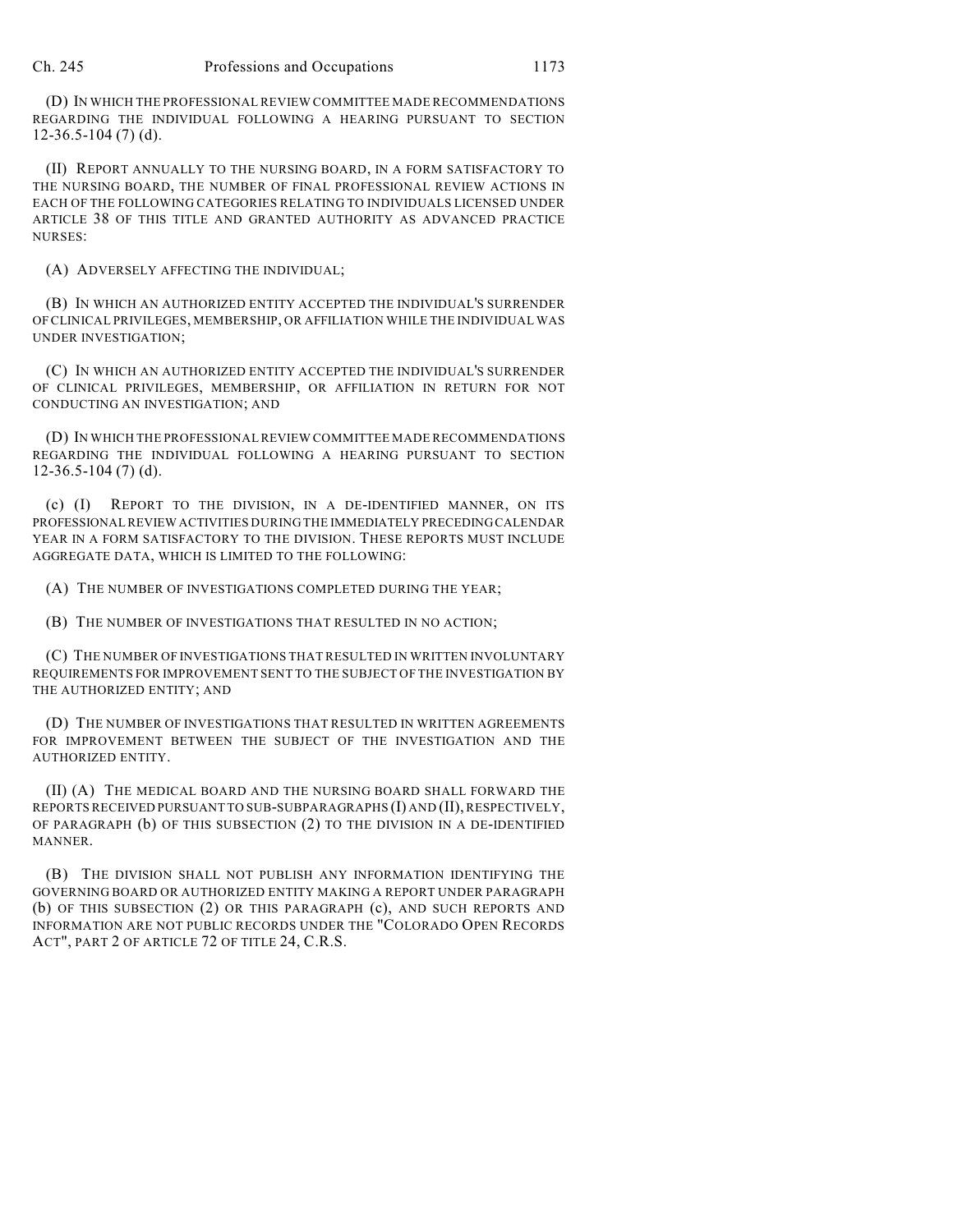(D) IN WHICH THE PROFESSIONAL REVIEW COMMITTEE MADE RECOMMENDATIONS REGARDING THE INDIVIDUAL FOLLOWING A HEARING PURSUANT TO SECTION 12-36.5-104 (7) (d).

(II) REPORT ANNUALLY TO THE NURSING BOARD, IN A FORM SATISFACTORY TO THE NURSING BOARD, THE NUMBER OF FINAL PROFESSIONAL REVIEW ACTIONS IN EACH OF THE FOLLOWING CATEGORIES RELATING TO INDIVIDUALS LICENSED UNDER ARTICLE 38 OF THIS TITLE AND GRANTED AUTHORITY AS ADVANCED PRACTICE NURSES:

(A) ADVERSELY AFFECTING THE INDIVIDUAL;

(B) IN WHICH AN AUTHORIZED ENTITY ACCEPTED THE INDIVIDUAL'S SURRENDER OF CLINICAL PRIVILEGES, MEMBERSHIP, OR AFFILIATION WHILE THE INDIVIDUAL WAS UNDER INVESTIGATION;

(C) IN WHICH AN AUTHORIZED ENTITY ACCEPTED THE INDIVIDUAL'S SURRENDER OF CLINICAL PRIVILEGES, MEMBERSHIP, OR AFFILIATION IN RETURN FOR NOT CONDUCTING AN INVESTIGATION; AND

(D) IN WHICH THE PROFESSIONAL REVIEW COMMITTEE MADE RECOMMENDATIONS REGARDING THE INDIVIDUAL FOLLOWING A HEARING PURSUANT TO SECTION 12-36.5-104 (7) (d).

(c) (I) REPORT TO THE DIVISION, IN A DE-IDENTIFIED MANNER, ON ITS PROFESSIONAL REVIEW ACTIVITIES DURING THE IMMEDIATELY PRECEDINGCALENDAR YEAR IN A FORM SATISFACTORY TO THE DIVISION. THESE REPORTS MUST INCLUDE AGGREGATE DATA, WHICH IS LIMITED TO THE FOLLOWING:

(A) THE NUMBER OF INVESTIGATIONS COMPLETED DURING THE YEAR;

(B) THE NUMBER OF INVESTIGATIONS THAT RESULTED IN NO ACTION;

(C) THE NUMBER OF INVESTIGATIONS THAT RESULTED IN WRITTEN INVOLUNTARY REQUIREMENTS FOR IMPROVEMENT SENT TO THE SUBJECT OF THE INVESTIGATION BY THE AUTHORIZED ENTITY; AND

(D) THE NUMBER OF INVESTIGATIONS THAT RESULTED IN WRITTEN AGREEMENTS FOR IMPROVEMENT BETWEEN THE SUBJECT OF THE INVESTIGATION AND THE AUTHORIZED ENTITY.

(II) (A) THE MEDICAL BOARD AND THE NURSING BOARD SHALL FORWARD THE REPORTS RECEIVED PURSUANT TO SUB-SUBPARAGRAPHS (I) AND (II), RESPECTIVELY, OF PARAGRAPH (b) OF THIS SUBSECTION (2) TO THE DIVISION IN A DE-IDENTIFIED MANNER.

(B) THE DIVISION SHALL NOT PUBLISH ANY INFORMATION IDENTIFYING THE GOVERNING BOARD OR AUTHORIZED ENTITY MAKING A REPORT UNDER PARAGRAPH (b) OF THIS SUBSECTION (2) OR THIS PARAGRAPH (c), AND SUCH REPORTS AND INFORMATION ARE NOT PUBLIC RECORDS UNDER THE "COLORADO OPEN RECORDS ACT", PART 2 OF ARTICLE 72 OF TITLE 24, C.R.S.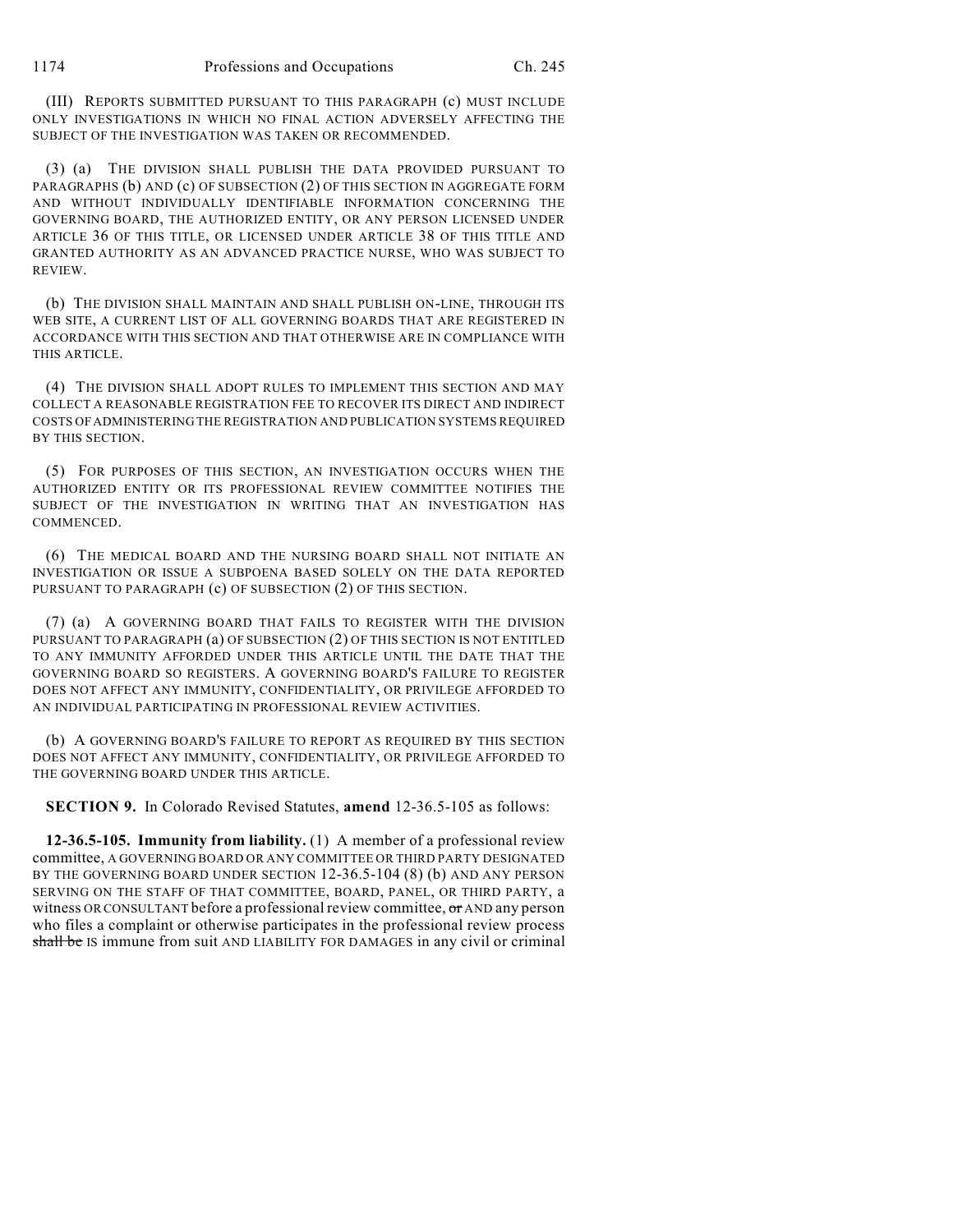(III) REPORTS SUBMITTED PURSUANT TO THIS PARAGRAPH (c) MUST INCLUDE ONLY INVESTIGATIONS IN WHICH NO FINAL ACTION ADVERSELY AFFECTING THE SUBJECT OF THE INVESTIGATION WAS TAKEN OR RECOMMENDED.

(3) (a) THE DIVISION SHALL PUBLISH THE DATA PROVIDED PURSUANT TO PARAGRAPHS (b) AND (c) OF SUBSECTION (2) OF THIS SECTION IN AGGREGATE FORM AND WITHOUT INDIVIDUALLY IDENTIFIABLE INFORMATION CONCERNING THE GOVERNING BOARD, THE AUTHORIZED ENTITY, OR ANY PERSON LICENSED UNDER ARTICLE 36 OF THIS TITLE, OR LICENSED UNDER ARTICLE 38 OF THIS TITLE AND GRANTED AUTHORITY AS AN ADVANCED PRACTICE NURSE, WHO WAS SUBJECT TO REVIEW.

(b) THE DIVISION SHALL MAINTAIN AND SHALL PUBLISH ON-LINE, THROUGH ITS WEB SITE, A CURRENT LIST OF ALL GOVERNING BOARDS THAT ARE REGISTERED IN ACCORDANCE WITH THIS SECTION AND THAT OTHERWISE ARE IN COMPLIANCE WITH THIS ARTICLE.

(4) THE DIVISION SHALL ADOPT RULES TO IMPLEMENT THIS SECTION AND MAY COLLECT A REASONABLE REGISTRATION FEE TO RECOVER ITS DIRECT AND INDIRECT COSTS OFADMINISTERING THE REGISTRATION AND PUBLICATION SYSTEMS REQUIRED BY THIS SECTION.

(5) FOR PURPOSES OF THIS SECTION, AN INVESTIGATION OCCURS WHEN THE AUTHORIZED ENTITY OR ITS PROFESSIONAL REVIEW COMMITTEE NOTIFIES THE SUBJECT OF THE INVESTIGATION IN WRITING THAT AN INVESTIGATION HAS COMMENCED.

(6) THE MEDICAL BOARD AND THE NURSING BOARD SHALL NOT INITIATE AN INVESTIGATION OR ISSUE A SUBPOENA BASED SOLELY ON THE DATA REPORTED PURSUANT TO PARAGRAPH (c) OF SUBSECTION (2) OF THIS SECTION.

(7) (a) A GOVERNING BOARD THAT FAILS TO REGISTER WITH THE DIVISION PURSUANT TO PARAGRAPH (a) OF SUBSECTION (2) OF THIS SECTION IS NOT ENTITLED TO ANY IMMUNITY AFFORDED UNDER THIS ARTICLE UNTIL THE DATE THAT THE GOVERNING BOARD SO REGISTERS. A GOVERNING BOARD'S FAILURE TO REGISTER DOES NOT AFFECT ANY IMMUNITY, CONFIDENTIALITY, OR PRIVILEGE AFFORDED TO AN INDIVIDUAL PARTICIPATING IN PROFESSIONAL REVIEW ACTIVITIES.

(b) A GOVERNING BOARD'S FAILURE TO REPORT AS REQUIRED BY THIS SECTION DOES NOT AFFECT ANY IMMUNITY, CONFIDENTIALITY, OR PRIVILEGE AFFORDED TO THE GOVERNING BOARD UNDER THIS ARTICLE.

**SECTION 9.** In Colorado Revised Statutes, **amend** 12-36.5-105 as follows:

**12-36.5-105. Immunity from liability.** (1) A member of a professional review committee, A GOVERNING BOARD OR ANY COMMITTEE OR THIRD PARTY DESIGNATED BY THE GOVERNING BOARD UNDER SECTION 12-36.5-104 (8) (b) AND ANY PERSON SERVING ON THE STAFF OF THAT COMMITTEE, BOARD, PANEL, OR THIRD PARTY, a witness OR CONSULTANT before a professional review committee, or AND any person who files a complaint or otherwise participates in the professional review process shall be IS immune from suit AND LIABILITY FOR DAMAGES in any civil or criminal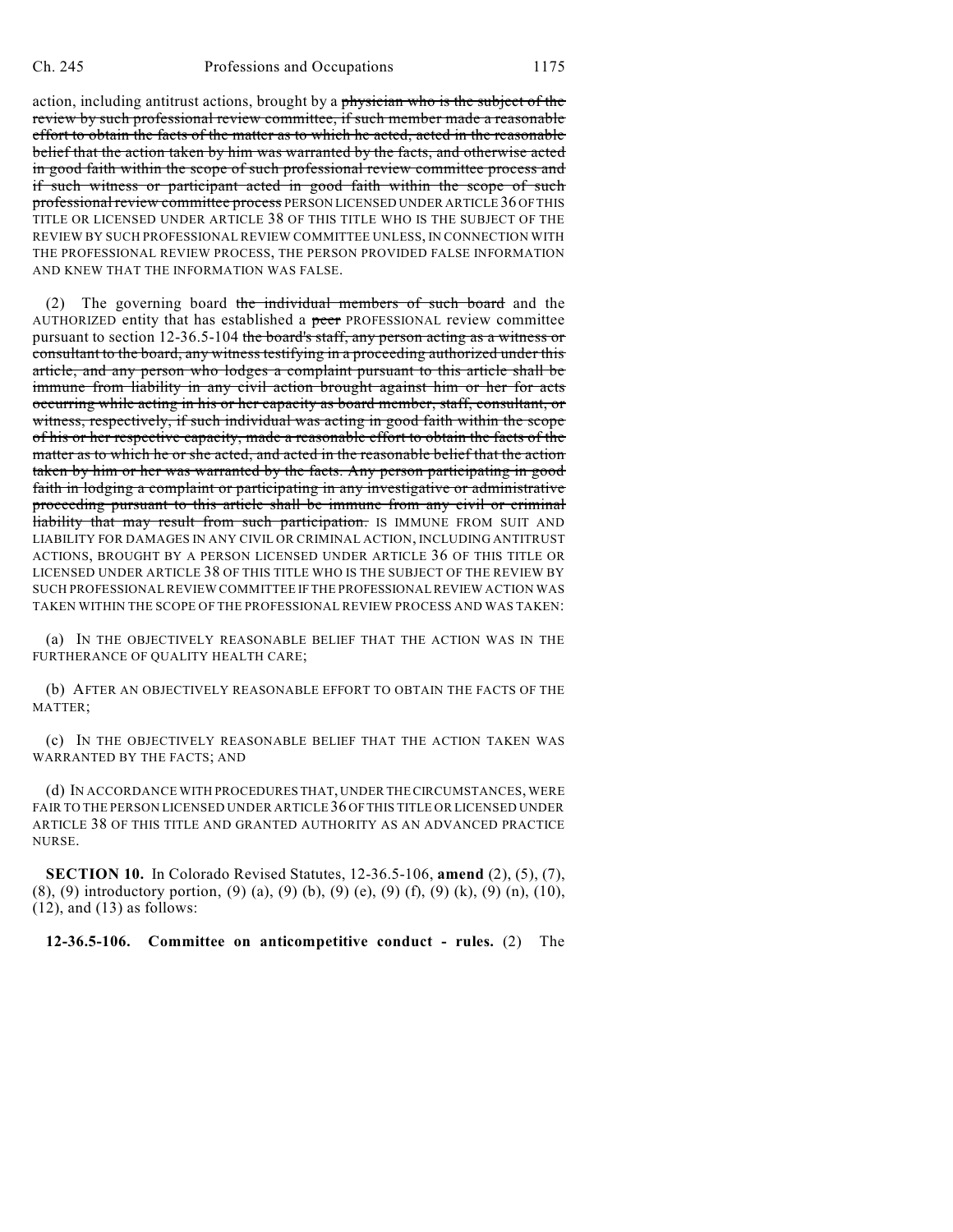action, including antitrust actions, brought by a physician who is the subject of the review by such professional review committee, if such member made a reasonable effort to obtain the facts of the matter as to which he acted, acted in the reasonable belief that the action taken by him was warranted by the facts, and otherwise acted in good faith within the scope of such professional review committee process and if such witness or participant acted in good faith within the scope of such professional review committee process PERSON LICENSED UNDER ARTICLE 36 OFTHIS TITLE OR LICENSED UNDER ARTICLE 38 OF THIS TITLE WHO IS THE SUBJECT OF THE REVIEW BY SUCH PROFESSIONAL REVIEW COMMITTEE UNLESS, IN CONNECTION WITH THE PROFESSIONAL REVIEW PROCESS, THE PERSON PROVIDED FALSE INFORMATION AND KNEW THAT THE INFORMATION WAS FALSE.

(2) The governing board the individual members of such board and the AUTHORIZED entity that has established a peer PROFESSIONAL review committee pursuant to section 12-36.5-104 the board's staff, any person acting as a witness or consultant to the board, any witness testifying in a proceeding authorized under this article, and any person who lodges a complaint pursuant to this article shall be immune from liability in any civil action brought against him or her for acts occurring while acting in his or her capacity as board member, staff, consultant, or witness, respectively, if such individual was acting in good faith within the scope of his or her respective capacity, made a reasonable effort to obtain the facts of the matter as to which he or she acted, and acted in the reasonable belief that the action taken by him or her was warranted by the facts. Any person participating in good faith in lodging a complaint or participating in any investigative or administrative proceeding pursuant to this article shall be immune from any civil or criminal liability that may result from such participation. IS IMMUNE FROM SUIT AND LIABILITY FOR DAMAGES IN ANY CIVIL OR CRIMINAL ACTION, INCLUDING ANTITRUST ACTIONS, BROUGHT BY A PERSON LICENSED UNDER ARTICLE 36 OF THIS TITLE OR LICENSED UNDER ARTICLE 38 OF THIS TITLE WHO IS THE SUBJECT OF THE REVIEW BY SUCH PROFESSIONAL REVIEW COMMITTEE IF THE PROFESSIONAL REVIEW ACTION WAS TAKEN WITHIN THE SCOPE OF THE PROFESSIONAL REVIEW PROCESS AND WAS TAKEN:

(a) IN THE OBJECTIVELY REASONABLE BELIEF THAT THE ACTION WAS IN THE FURTHERANCE OF QUALITY HEALTH CARE;

(b) AFTER AN OBJECTIVELY REASONABLE EFFORT TO OBTAIN THE FACTS OF THE MATTER;

(c) IN THE OBJECTIVELY REASONABLE BELIEF THAT THE ACTION TAKEN WAS WARRANTED BY THE FACTS; AND

(d) IN ACCORDANCE WITH PROCEDURES THAT, UNDER THECIRCUMSTANCES, WERE FAIR TO THE PERSON LICENSED UNDER ARTICLE 36 OFTHIS TITLE OR LICENSED UNDER ARTICLE 38 OF THIS TITLE AND GRANTED AUTHORITY AS AN ADVANCED PRACTICE NURSE.

**SECTION 10.** In Colorado Revised Statutes, 12-36.5-106, **amend** (2), (5), (7), (8), (9) introductory portion, (9) (a), (9) (b), (9) (e), (9) (f), (9) (k), (9) (n), (10), (12), and (13) as follows:

**12-36.5-106. Committee on anticompetitive conduct - rules.** (2) The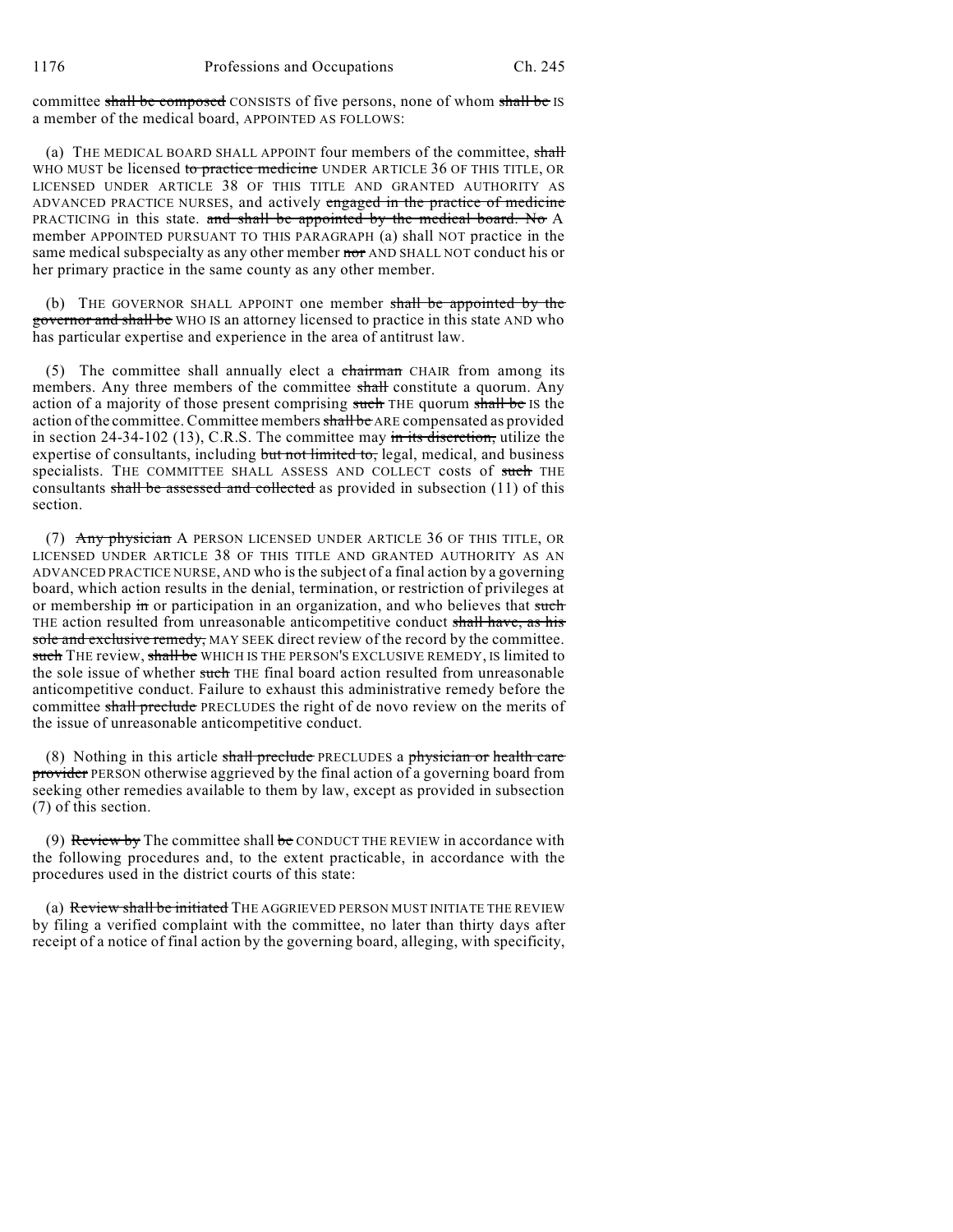committee shall be composed CONSISTS of five persons, none of whom shall be IS a member of the medical board, APPOINTED AS FOLLOWS:

(a) THE MEDICAL BOARD SHALL APPOINT four members of the committee, shall WHO MUST be licensed to practice medicine UNDER ARTICLE 36 OF THIS TITLE, OR LICENSED UNDER ARTICLE 38 OF THIS TITLE AND GRANTED AUTHORITY AS ADVANCED PRACTICE NURSES, and actively engaged in the practice of medicine PRACTICING in this state. and shall be appointed by the medical board. No A member APPOINTED PURSUANT TO THIS PARAGRAPH (a) shall NOT practice in the same medical subspecialty as any other member nor AND SHALL NOT conduct his or her primary practice in the same county as any other member.

(b) THE GOVERNOR SHALL APPOINT one member shall be appointed by the governor and shall be WHO IS an attorney licensed to practice in this state AND who has particular expertise and experience in the area of antitrust law.

(5) The committee shall annually elect a chairman CHAIR from among its members. Any three members of the committee shall constitute a quorum. Any action of a majority of those present comprising such THE quorum shall be IS the action of the committee. Committee members shall be ARE compensated as provided in section 24-34-102 (13), C.R.S. The committee may in its discretion, utilize the expertise of consultants, including but not limited to, legal, medical, and business specialists. THE COMMITTEE SHALL ASSESS AND COLLECT costs of such THE consultants shall be assessed and collected as provided in subsection  $(11)$  of this section.

(7) Any physician A PERSON LICENSED UNDER ARTICLE 36 OF THIS TITLE, OR LICENSED UNDER ARTICLE 38 OF THIS TITLE AND GRANTED AUTHORITY AS AN ADVANCED PRACTICE NURSE, AND who isthe subject of a final action by a governing board, which action results in the denial, termination, or restriction of privileges at or membership in or participation in an organization, and who believes that such THE action resulted from unreasonable anticompetitive conduct shall have, as his sole and exclusive remedy, MAY SEEK direct review of the record by the committee. such THE review, shall be WHICH IS THE PERSON'S EXCLUSIVE REMEDY, IS limited to the sole issue of whether such THE final board action resulted from unreasonable anticompetitive conduct. Failure to exhaust this administrative remedy before the committee shall preclude PRECLUDES the right of de novo review on the merits of the issue of unreasonable anticompetitive conduct.

(8) Nothing in this article shall preclude PRECLUDES a physician or health care provider PERSON otherwise aggrieved by the final action of a governing board from seeking other remedies available to them by law, except as provided in subsection (7) of this section.

(9) Review by The committee shall be CONDUCT THE REVIEW in accordance with the following procedures and, to the extent practicable, in accordance with the procedures used in the district courts of this state:

(a) Review shall be initiated THE AGGRIEVED PERSON MUST INITIATE THE REVIEW by filing a verified complaint with the committee, no later than thirty days after receipt of a notice of final action by the governing board, alleging, with specificity,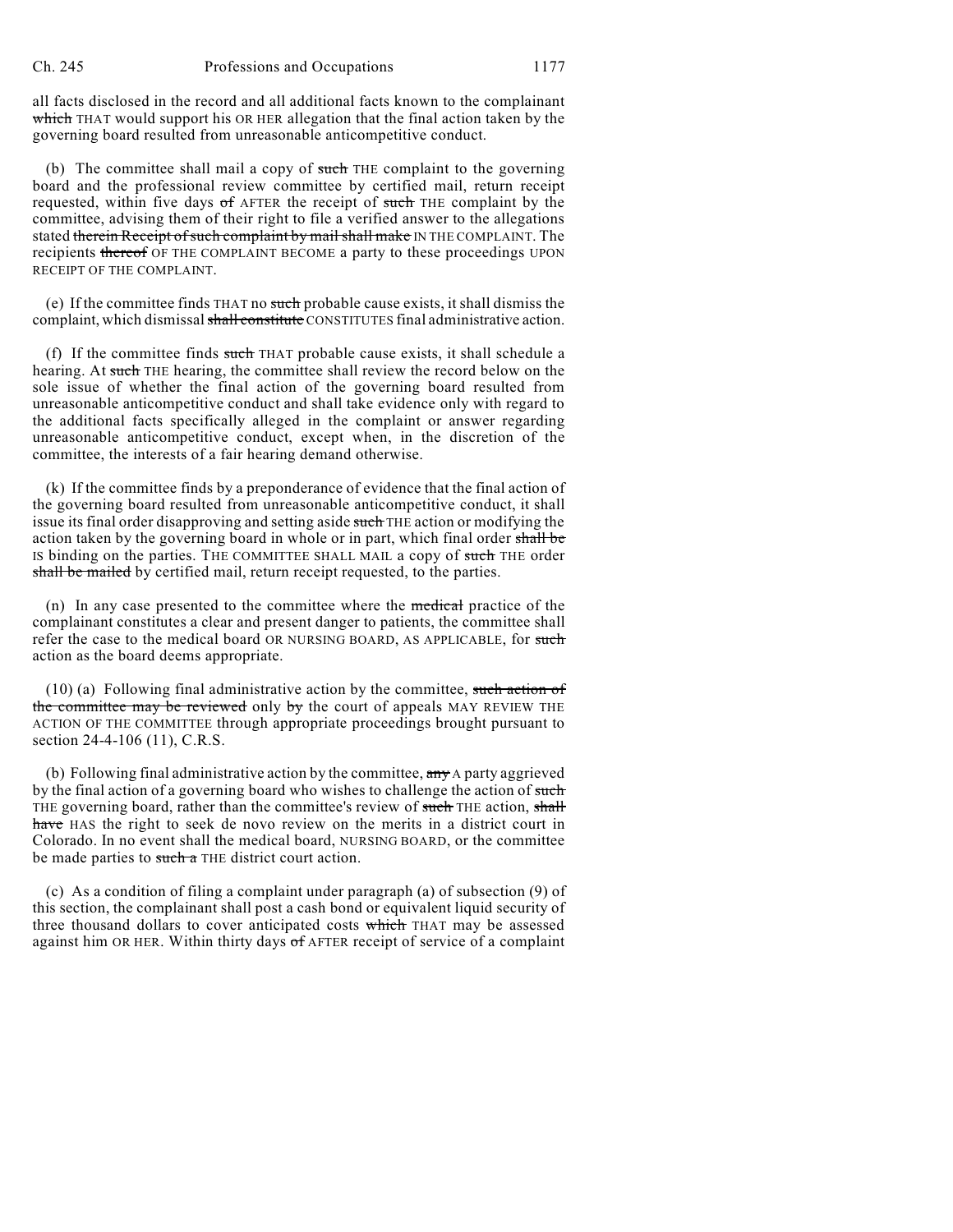all facts disclosed in the record and all additional facts known to the complainant which THAT would support his OR HER allegation that the final action taken by the governing board resulted from unreasonable anticompetitive conduct.

(b) The committee shall mail a copy of such THE complaint to the governing board and the professional review committee by certified mail, return receipt requested, within five days of AFTER the receipt of such THE complaint by the committee, advising them of their right to file a verified answer to the allegations stated therein Receipt of such complaint by mail shall make IN THE COMPLAINT. The recipients thereof OF THE COMPLAINT BECOME a party to these proceedings UPON RECEIPT OF THE COMPLAINT.

(e) If the committee finds THAT no such probable cause exists, it shall dismiss the complaint, which dismissal shall constitute CONSTITUTES final administrative action.

(f) If the committee finds such THAT probable cause exists, it shall schedule a hearing. At such THE hearing, the committee shall review the record below on the sole issue of whether the final action of the governing board resulted from unreasonable anticompetitive conduct and shall take evidence only with regard to the additional facts specifically alleged in the complaint or answer regarding unreasonable anticompetitive conduct, except when, in the discretion of the committee, the interests of a fair hearing demand otherwise.

(k) If the committee finds by a preponderance of evidence that the final action of the governing board resulted from unreasonable anticompetitive conduct, it shall issue its final order disapproving and setting aside such THE action or modifying the action taken by the governing board in whole or in part, which final order shall be IS binding on the parties. THE COMMITTEE SHALL MAIL a copy of such THE order shall be mailed by certified mail, return receipt requested, to the parties.

(n) In any case presented to the committee where the medical practice of the complainant constitutes a clear and present danger to patients, the committee shall refer the case to the medical board OR NURSING BOARD, AS APPLICABLE, for such action as the board deems appropriate.

 $(10)$  (a) Following final administrative action by the committee, such action of the committee may be reviewed only by the court of appeals MAY REVIEW THE ACTION OF THE COMMITTEE through appropriate proceedings brought pursuant to section 24-4-106 (11), C.R.S.

(b) Following final administrative action by the committee,  $\frac{a_n}{b_n}$  A party aggrieved by the final action of a governing board who wishes to challenge the action of such THE governing board, rather than the committee's review of such THE action, shall have HAS the right to seek de novo review on the merits in a district court in Colorado. In no event shall the medical board, NURSING BOARD, or the committee be made parties to such a THE district court action.

(c) As a condition of filing a complaint under paragraph (a) of subsection (9) of this section, the complainant shall post a cash bond or equivalent liquid security of three thousand dollars to cover anticipated costs which THAT may be assessed against him OR HER. Within thirty days of AFTER receipt of service of a complaint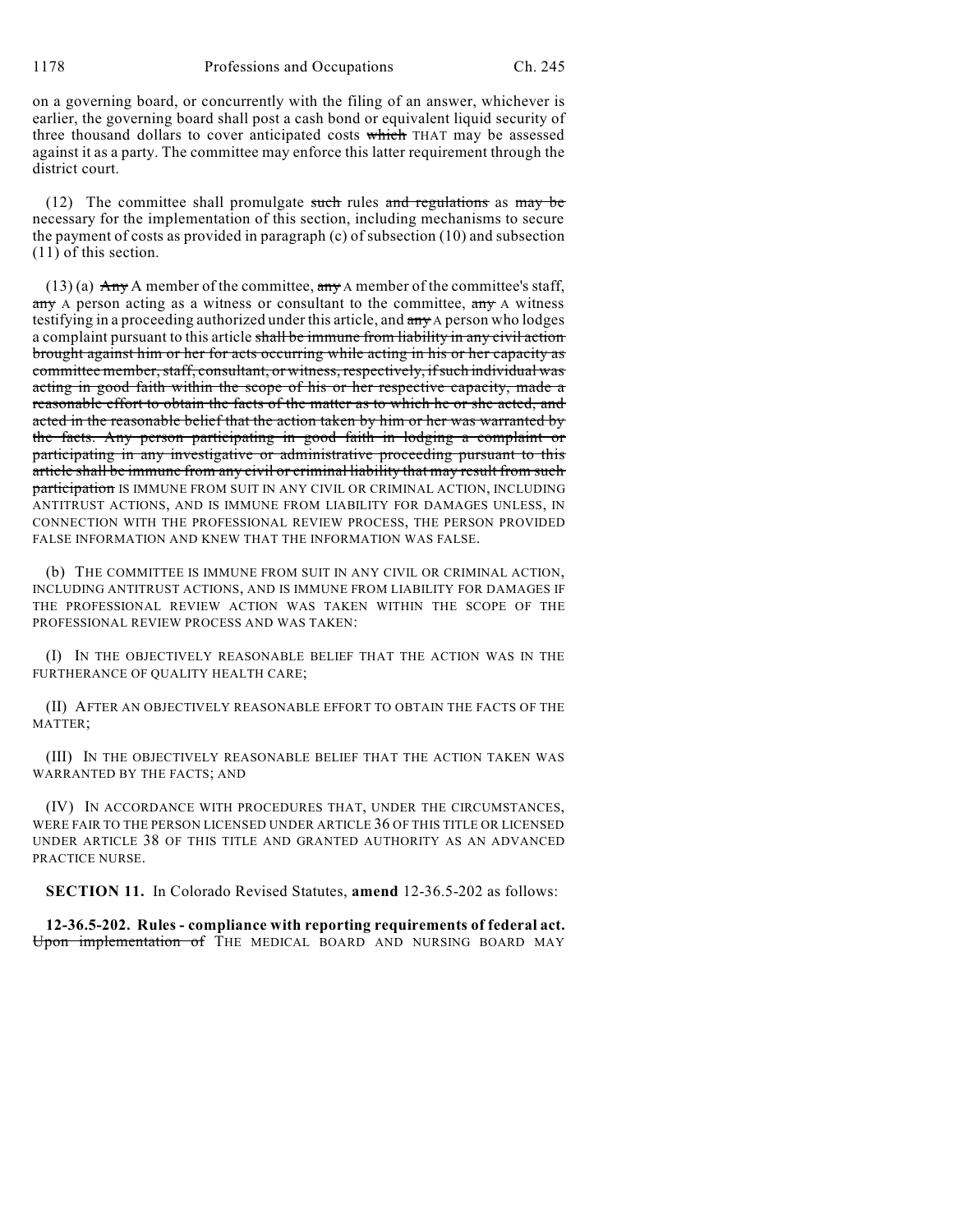on a governing board, or concurrently with the filing of an answer, whichever is earlier, the governing board shall post a cash bond or equivalent liquid security of three thousand dollars to cover anticipated costs which THAT may be assessed against it as a party. The committee may enforce this latter requirement through the district court.

(12) The committee shall promulgate such rules and regulations as may be necessary for the implementation of this section, including mechanisms to secure the payment of costs as provided in paragraph (c) of subsection (10) and subsection (11) of this section.

 $(13)$  (a) Any A member of the committee, any A member of the committee's staff,  $\frac{\text{any}}{\text{any}}$  A person acting as a witness or consultant to the committee,  $\frac{\text{any}}{\text{any}}$  A witness testifying in a proceeding authorized under this article, and  $\frac{day}{dx}$  person who lodges a complaint pursuant to this article shall be immune from liability in any civil action brought against him or her for acts occurring while acting in his or her capacity as committee member, staff, consultant, or witness, respectively, if such individual was acting in good faith within the scope of his or her respective capacity, made a reasonable effort to obtain the facts of the matter as to which he or she acted, and acted in the reasonable belief that the action taken by him or her was warranted by the facts. Any person participating in good faith in lodging a complaint or participating in any investigative or administrative proceeding pursuant to this article shall be immune from any civil or criminal liability that may result from such participation IS IMMUNE FROM SUIT IN ANY CIVIL OR CRIMINAL ACTION, INCLUDING ANTITRUST ACTIONS, AND IS IMMUNE FROM LIABILITY FOR DAMAGES UNLESS, IN CONNECTION WITH THE PROFESSIONAL REVIEW PROCESS, THE PERSON PROVIDED FALSE INFORMATION AND KNEW THAT THE INFORMATION WAS FALSE.

(b) THE COMMITTEE IS IMMUNE FROM SUIT IN ANY CIVIL OR CRIMINAL ACTION, INCLUDING ANTITRUST ACTIONS, AND IS IMMUNE FROM LIABILITY FOR DAMAGES IF THE PROFESSIONAL REVIEW ACTION WAS TAKEN WITHIN THE SCOPE OF THE PROFESSIONAL REVIEW PROCESS AND WAS TAKEN:

(I) IN THE OBJECTIVELY REASONABLE BELIEF THAT THE ACTION WAS IN THE FURTHERANCE OF QUALITY HEALTH CARE;

(II) AFTER AN OBJECTIVELY REASONABLE EFFORT TO OBTAIN THE FACTS OF THE MATTER;

(III) IN THE OBJECTIVELY REASONABLE BELIEF THAT THE ACTION TAKEN WAS WARRANTED BY THE FACTS; AND

(IV) IN ACCORDANCE WITH PROCEDURES THAT, UNDER THE CIRCUMSTANCES, WERE FAIR TO THE PERSON LICENSED UNDER ARTICLE 36 OF THIS TITLE OR LICENSED UNDER ARTICLE 38 OF THIS TITLE AND GRANTED AUTHORITY AS AN ADVANCED PRACTICE NURSE.

**SECTION 11.** In Colorado Revised Statutes, **amend** 12-36.5-202 as follows:

**12-36.5-202. Rules - compliance with reporting requirements of federal act.** Upon implementation of THE MEDICAL BOARD AND NURSING BOARD MAY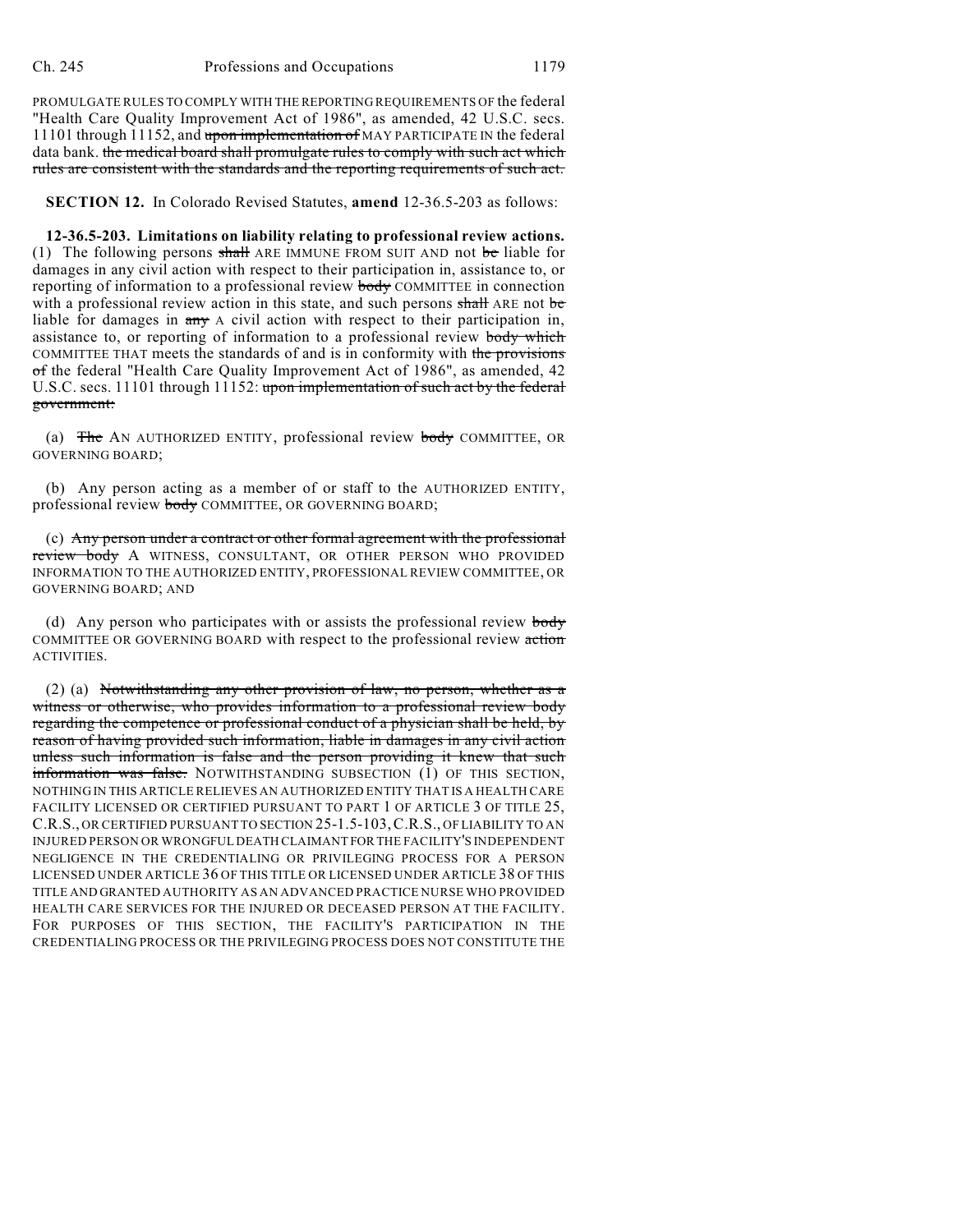PROMULGATE RULES TO COMPLY WITH THE REPORTING REQUIREMENTS OF the federal "Health Care Quality Improvement Act of 1986", as amended, 42 U.S.C. secs. 11101 through 11152, and upon implementation of MAY PARTICIPATE IN the federal data bank. the medical board shall promulgate rules to comply with such act which rules are consistent with the standards and the reporting requirements of such act.

**SECTION 12.** In Colorado Revised Statutes, **amend** 12-36.5-203 as follows:

**12-36.5-203. Limitations on liability relating to professional review actions.** (1) The following persons shall ARE IMMUNE FROM SUIT AND not be liable for damages in any civil action with respect to their participation in, assistance to, or reporting of information to a professional review body COMMITTEE in connection with a professional review action in this state, and such persons shall ARE not be liable for damages in  $\frac{day}{dx}$  A civil action with respect to their participation in, assistance to, or reporting of information to a professional review body which COMMITTEE THAT meets the standards of and is in conformity with the provisions of the federal "Health Care Quality Improvement Act of 1986", as amended, 42 U.S.C. secs. 11101 through 11152: upon implementation of such act by the federal government:

(a) The AN AUTHORIZED ENTITY, professional review body COMMITTEE, OR GOVERNING BOARD;

(b) Any person acting as a member of or staff to the AUTHORIZED ENTITY, professional review body COMMITTEE, OR GOVERNING BOARD;

(c) Any person under a contract or other formal agreement with the professional review body A WITNESS, CONSULTANT, OR OTHER PERSON WHO PROVIDED INFORMATION TO THE AUTHORIZED ENTITY, PROFESSIONAL REVIEW COMMITTEE, OR GOVERNING BOARD; AND

(d) Any person who participates with or assists the professional review body COMMITTEE OR GOVERNING BOARD with respect to the professional review action ACTIVITIES.

(2) (a) Notwithstanding any other provision of law, no person, whether as a witness or otherwise, who provides information to a professional review body regarding the competence or professional conduct of a physician shall be held, by reason of having provided such information, liable in damages in any civil action unless such information is false and the person providing it knew that such information was false. NOTWITHSTANDING SUBSECTION (1) OF THIS SECTION, NOTHING IN THIS ARTICLE RELIEVES AN AUTHORIZED ENTITY THAT IS A HEALTH CARE FACILITY LICENSED OR CERTIFIED PURSUANT TO PART 1 OF ARTICLE 3 OF TITLE 25, C.R.S., OR CERTIFIED PURSUANT TO SECTION 25-1.5-103,C.R.S., OF LIABILITY TO AN INJURED PERSON OR WRONGFUL DEATH CLAIMANT FOR THE FACILITY'S INDEPENDENT NEGLIGENCE IN THE CREDENTIALING OR PRIVILEGING PROCESS FOR A PERSON LICENSED UNDER ARTICLE 36 OF THIS TITLE OR LICENSED UNDER ARTICLE 38 OF THIS TITLE AND GRANTED AUTHORITY AS AN ADVANCED PRACTICE NURSE WHO PROVIDED HEALTH CARE SERVICES FOR THE INJURED OR DECEASED PERSON AT THE FACILITY. FOR PURPOSES OF THIS SECTION, THE FACILITY'S PARTICIPATION IN THE CREDENTIALING PROCESS OR THE PRIVILEGING PROCESS DOES NOT CONSTITUTE THE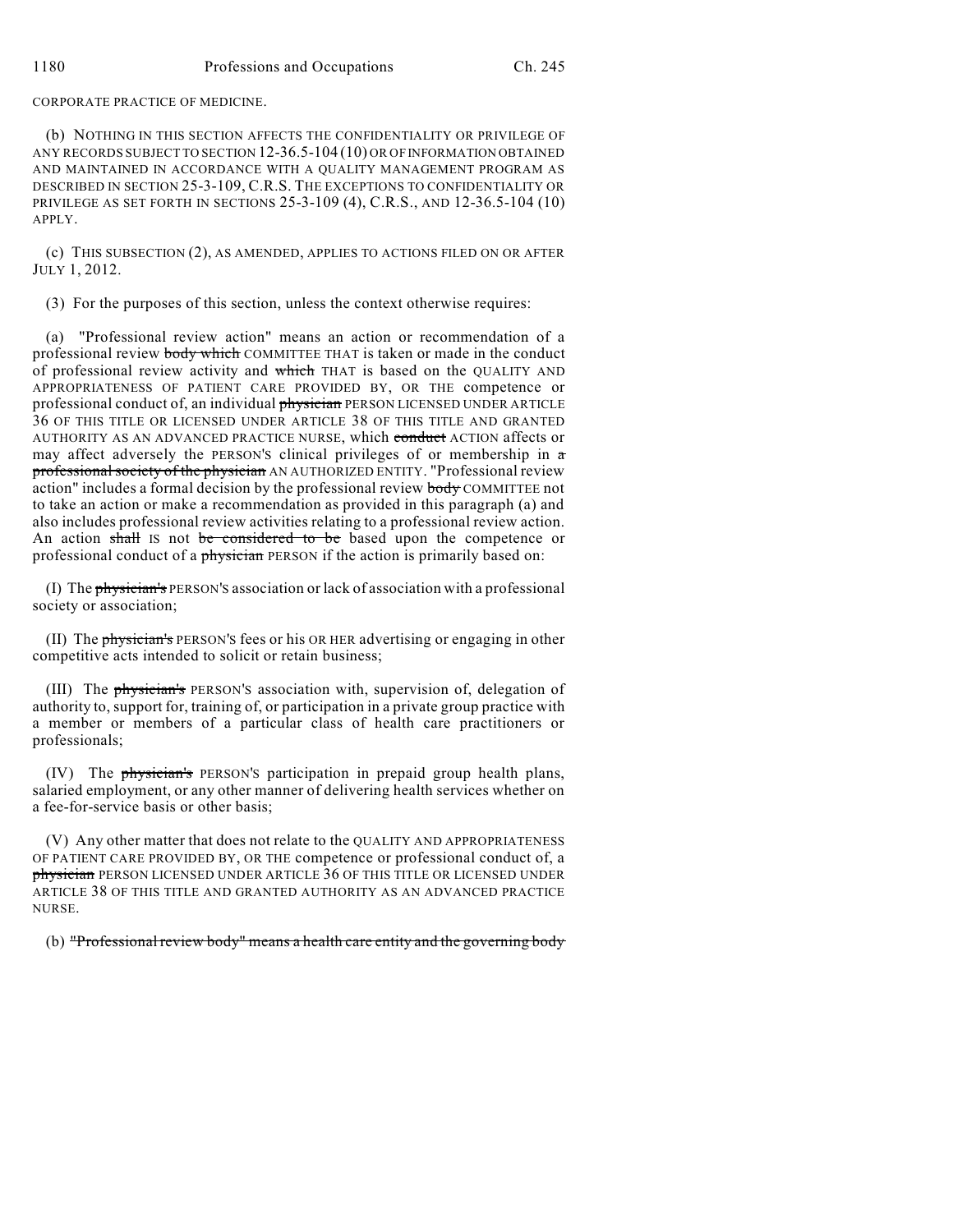CORPORATE PRACTICE OF MEDICINE.

(b) NOTHING IN THIS SECTION AFFECTS THE CONFIDENTIALITY OR PRIVILEGE OF ANY RECORDS SUBJECT TO SECTION 12-36.5-104 (10) OR OF INFORMATION OBTAINED AND MAINTAINED IN ACCORDANCE WITH A QUALITY MANAGEMENT PROGRAM AS DESCRIBED IN SECTION 25-3-109, C.R.S. THE EXCEPTIONS TO CONFIDENTIALITY OR PRIVILEGE AS SET FORTH IN SECTIONS 25-3-109 (4), C.R.S., AND 12-36.5-104 (10) APPLY.

(c) THIS SUBSECTION (2), AS AMENDED, APPLIES TO ACTIONS FILED ON OR AFTER JULY 1, 2012.

(3) For the purposes of this section, unless the context otherwise requires:

(a) "Professional review action" means an action or recommendation of a professional review body which COMMITTEE THAT is taken or made in the conduct of professional review activity and which THAT is based on the QUALITY AND APPROPRIATENESS OF PATIENT CARE PROVIDED BY, OR THE competence or professional conduct of, an individual *physician* PERSON LICENSED UNDER ARTICLE 36 OF THIS TITLE OR LICENSED UNDER ARTICLE 38 OF THIS TITLE AND GRANTED AUTHORITY AS AN ADVANCED PRACTICE NURSE, which conduct ACTION affects or may affect adversely the PERSON'S clinical privileges of or membership in a professional society of the physician AN AUTHORIZED ENTITY. "Professional review action" includes a formal decision by the professional review body COMMITTEE not to take an action or make a recommendation as provided in this paragraph (a) and also includes professional review activities relating to a professional review action. An action shall IS not be considered to be based upon the competence or professional conduct of a physician PERSON if the action is primarily based on:

(I) The physician's PERSON'S association or lack of association with a professional society or association;

(II) The **physician's** PERSON'S fees or his OR HER advertising or engaging in other competitive acts intended to solicit or retain business;

(III) The physician's PERSON'S association with, supervision of, delegation of authority to, support for, training of, or participation in a private group practice with a member or members of a particular class of health care practitioners or professionals;

(IV) The physician's PERSON'S participation in prepaid group health plans, salaried employment, or any other manner of delivering health services whether on a fee-for-service basis or other basis;

(V) Any other matter that does not relate to the QUALITY AND APPROPRIATENESS OF PATIENT CARE PROVIDED BY, OR THE competence or professional conduct of, a physician PERSON LICENSED UNDER ARTICLE 36 OF THIS TITLE OR LICENSED UNDER ARTICLE 38 OF THIS TITLE AND GRANTED AUTHORITY AS AN ADVANCED PRACTICE NURSE.

(b) "Professional review body" means a health care entity and the governing body